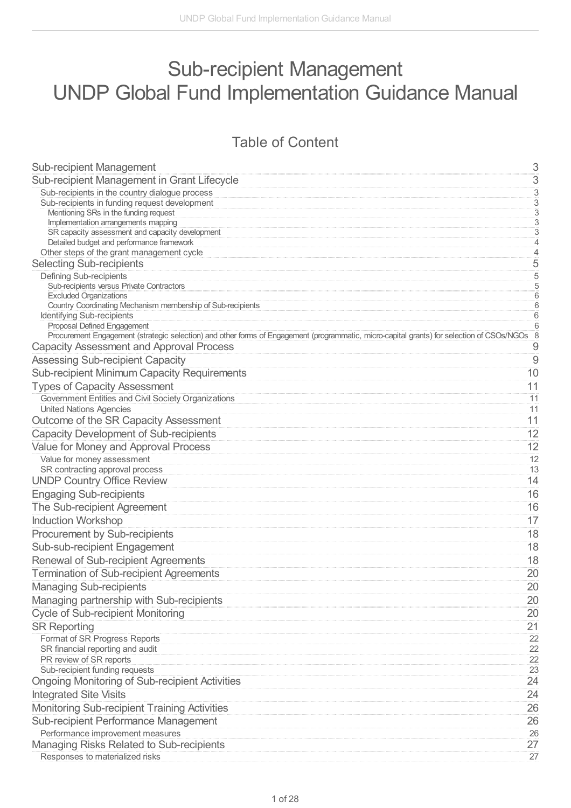# Sub-recipient Management UNDP Global Fund Implementation Guidance Manual

## Table of Content

| <b>Sub-recipient Management</b>                                                                                                              | 3                                |
|----------------------------------------------------------------------------------------------------------------------------------------------|----------------------------------|
| Sub-recipient Management in Grant Lifecycle                                                                                                  | $\,$ 3 $\,$                      |
| Sub-recipients in the country dialogue process                                                                                               | $\ensuremath{\mathsf{3}}$        |
| Sub-recipients in funding request development                                                                                                | $\sqrt{3}$                       |
| Mentioning SRs in the funding request                                                                                                        | $\overline{3}$                   |
| Implementation arrangements mapping<br>SR capacity assessment and capacity development                                                       | $\overline{3}$<br>$\overline{3}$ |
| Detailed budget and performance framework                                                                                                    | $\overline{4}$                   |
| Other steps of the grant management cycle                                                                                                    | $\sqrt{4}$                       |
| <b>Selecting Sub-recipients</b>                                                                                                              | 5                                |
| <b>Defining Sub-recipients</b>                                                                                                               | $\overline{5}$                   |
| Sub-recipients versus Private Contractors                                                                                                    | $\overline{5}$                   |
| <b>Excluded Organizations</b>                                                                                                                | $\overline{6}$                   |
| Country Coordinating Mechanism membership of Sub-recipients                                                                                  | 6                                |
| Identifying Sub-recipients<br>Proposal Defined Engagement                                                                                    | 6<br>6                           |
| Procurement Engagement (strategic selection) and other forms of Engagement (programmatic, micro-capital grants) for selection of CSOs/NGOs 8 |                                  |
| <b>Capacity Assessment and Approval Process</b>                                                                                              | 9                                |
| <b>Assessing Sub-recipient Capacity</b>                                                                                                      | $\overline{9}$                   |
| <b>Sub-recipient Minimum Capacity Requirements</b>                                                                                           | 10                               |
| <b>Types of Capacity Assessment</b>                                                                                                          | 11                               |
| Government Entities and Civil Society Organizations                                                                                          | 11                               |
| <b>United Nations Agencies</b>                                                                                                               | 11                               |
| Outcome of the SR Capacity Assessment                                                                                                        | 11                               |
| <b>Capacity Development of Sub-recipients</b>                                                                                                | 12                               |
| Value for Money and Approval Process                                                                                                         | 12                               |
| Value for money assessment                                                                                                                   | 12                               |
| SR contracting approval process                                                                                                              | 13                               |
| <b>UNDP Country Office Review</b>                                                                                                            | 14                               |
| <b>Engaging Sub-recipients</b>                                                                                                               | 16                               |
| The Sub-recipient Agreement                                                                                                                  | 16                               |
| <b>Induction Workshop</b>                                                                                                                    | 17                               |
| Procurement by Sub-recipients                                                                                                                | 18                               |
| Sub-sub-recipient Engagement                                                                                                                 | 18                               |
| Renewal of Sub-recipient Agreements                                                                                                          | 18                               |
| <b>Termination of Sub-recipient Agreements</b>                                                                                               | 20                               |
| <b>Managing Sub-recipients</b>                                                                                                               | 20                               |
| Managing partnership with Sub-recipients                                                                                                     | 20                               |
| <b>Cycle of Sub-recipient Monitoring</b>                                                                                                     | 20                               |
| <b>SR Reporting</b>                                                                                                                          | 21                               |
| Format of SR Progress Reports                                                                                                                | 22                               |
| SR financial reporting and audit                                                                                                             | 22                               |
| PR review of SR reports                                                                                                                      | 22                               |
| Sub-recipient funding requests                                                                                                               | 23                               |
| <b>Ongoing Monitoring of Sub-recipient Activities</b>                                                                                        | 24                               |
| <b>Integrated Site Visits</b>                                                                                                                | 24                               |
| Monitoring Sub-recipient Training Activities                                                                                                 | 26                               |
| Sub-recipient Performance Management                                                                                                         | 26                               |
| Performance improvement measures                                                                                                             | 26                               |
| Managing Risks Related to Sub-recipients                                                                                                     | 27                               |
| Responses to materialized risks                                                                                                              | 27                               |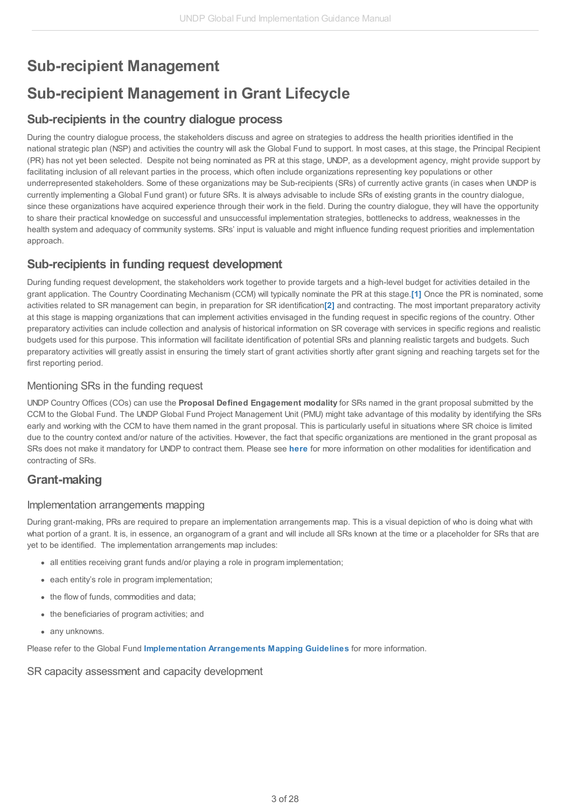# <span id="page-2-0"></span>**Sub-recipient Management**

# <span id="page-2-1"></span>**Sub-recipient Management in Grant Lifecycle**

### <span id="page-2-2"></span>**Sub-recipients in the country dialogue process**

During the country dialogue process, the stakeholders discuss and agree on strategies to address the health priorities identified in the national strategic plan (NSP) and activities the country will ask the Global Fund to support. In most cases, at this stage, the Principal Recipient (PR) has not yet been selected. Despite not being nominated as PR at this stage, UNDP, as a development agency, might provide support by facilitating inclusion of all relevant parties in the process, which often include organizations representing key populations or other underrepresented stakeholders. Some of these organizations may be Sub-recipients (SRs) of currently active grants (in cases when UNDP is currently implementing a Global Fund grant) or future SRs. It is always advisable to include SRs of existing grants in the country dialogue, since these organizations have acquired experience through their work in the field. During the country dialogue, they will have the opportunity to share their practical knowledge on successful and unsuccessful implementation strategies, bottlenecks to address, weaknesses in the health system and adequacy of community systems. SRs' input is valuable and might influence funding request priorities and implementation approach.

## <span id="page-2-3"></span>**Sub-recipients in funding request development**

<span id="page-2-8"></span><span id="page-2-7"></span>During funding request development, the stakeholders work together to provide targets and a high-level budget for activities detailed in the grant application. The Country Coordinating Mechanism (CCM) will typically nominate the PR at this stage.**[\[1\]](#page-3-2)** Once the PR is nominated, some activities related to SR management can begin, in preparation for SR identification**[\[2\]](#page-3-3)** and contracting. The most important preparatory activity at this stage is mapping organizations that can implement activities envisaged in the funding request in specific regions of the country. Other preparatory activities can include collection and analysis of historical information on SR coverage with services in specific regions and realistic budgets used for this purpose. This information will facilitate identification of potential SRs and planning realistic targets and budgets. Such preparatory activities will greatly assist in ensuring the timely start of grant activities shortly after grant signing and reaching targets set for the first reporting period.

### <span id="page-2-4"></span>Mentioning SRs in the funding request

UNDP Country Offices (COs) can use the **Proposal Defined Engagement modality** for SRs named in the grant proposal submitted by the CCM to the Global Fund. The UNDP Global Fund Project Management Unit (PMU) might take advantage of this modality by identifying the SRs early and working with the CCM to have them named in the grant proposal. This is particularly useful in situations where SR choice is limited due to the country context and/or nature of the activities. However, the fact that specific organizations are mentioned in the grant proposal as SRs does not make it mandatory for UNDP to contract them. Please see **[here](http://undphealthimplementation.org/functional-areas/sub-recipient-management/sub-recipient-management-in-grant-lifecycle/)** for more information on other modalities for identification and contracting of SRs.

## **Grant-making**

### <span id="page-2-5"></span>Implementation arrangements mapping

During grant-making, PRs are required to prepare an implementation arrangements map. This is a visual depiction of who is doing what with what portion of a grant. It is, in essence, an organogram of a grant and will include all SRs known at the time or a placeholder for SRs that are yet to be identified. The implementation arrangements map includes:

- all entities receiving grant funds and/or playing a role in program implementation;
- each entity's role in program implementation;
- the flow of funds, commodities and data;
- the beneficiaries of program activities; and
- any unknowns.

Please refer to the Global Fund **[Implementation](http://api.undphealthimplementation.org/api.svc/proxy/https://www.theglobalfund.org/media/5678/fundingmodel_implementationmapping_guidelines_en.pdf) Arrangements Mapping Guidelines** for more information.

### <span id="page-2-6"></span>SR capacity assessment and capacity development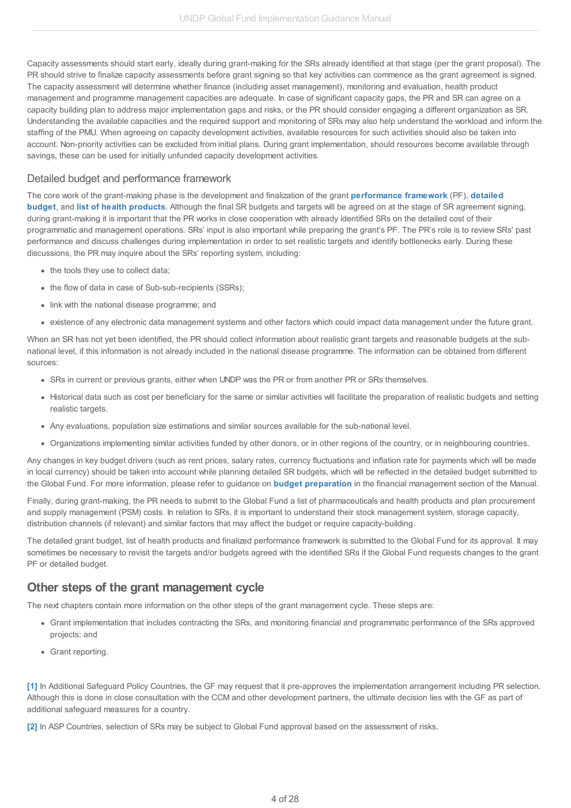Capacity assessments should start early, ideally during grant-making for the SRs already identified at that stage (per the grant proposal). The PR should strive to finalize capacity assessments before grant signing so that key activities can commence as the grant agreement is signed. The capacity assessment will determine whether finance (including asset management), monitoring and evaluation, health product management and programme management capacities are adequate. In case of significant capacity gaps, the PR and SR can agree on a capacity building plan to address major implementation gaps and risks, or the PR should consider engaging a different organization as SR. Understanding the available capacities and the required support and monitoring of SRs may also help understand the workload and inform the staffing of the PMU. When agreeing on capacity development activities, available resources for such activities should also be taken into account. Non-priority activities can be excluded from initial plans. During grant implementation, should resources become available through savings, these can be used for initially unfunded capacity development activities.

### <span id="page-3-0"></span>Detailed budget and performance framework

The core work of the grant-making phase is the development and finalization of the grant **[performance](http://undphealthimplementation.org/functional-areas/financial-management/grant-making-and-signing/prepare-and-finalize-a-global-fund-budget-during-grant-making/detailed-budgeting-guidance/) framework** (PF), **detailed budget**, and **list of health [products](http://undphealthimplementation.org/functional-areas/procurement-and-supply-management/development-of-list-of-health-products-and-procurement-action-plan/)**. Although the final SR budgets and targets will be agreed on at the stage of SR agreement signing, during grant-making it is important that the PR works in close cooperation with already identified SRs on the detailed cost of their programmatic and management operations. SRs' input is also important while preparing the grant's PF. The PR's role is to review SRs' past performance and discuss challenges during implementation in order to set realistic targets and identify bottlenecks early. During these discussions, the PR may inquire about the SRs' reporting system, including:

- the tools they use to collect data;
- the flow of data in case of Sub-sub-recipients (SSRs);
- link with the national disease programme; and
- existence of any electronic data management systems and other factors which could impact data management under the future grant.

When an SR has not yet been identified, the PR should collect information about realistic grant targets and reasonable budgets at the subnational level, if this information is not already included in the national disease programme. The information can be obtained from different sources:

- SRs in current or previous grants, either when UNDP was the PR or from another PR or SRs themselves.
- Historical data such as cost per beneficiary for the same or similar activities will facilitate the preparation of realistic budgets and setting realistic targets.
- Any evaluations, population size estimations and similar sources available for the sub-national level.
- Organizations implementing similar activities funded by other donors, or in other regions of the country, or in neighbouring countries.

Any changes in key budget drivers (such as rent prices, salary rates, currency fluctuations and inflation rate for payments which will be made in local currency) should be taken into account while planning detailed SR budgets, which will be reflected in the detailed budget submitted to the Global Fund. For more information, please refer to guidance on **budget [preparation](http://undphealthimplementation.org/functional-areas/financial-management/grant-making-and-signing/prepare-and-finalize-a-global-fund-budget-during-grant-making/detailed-budgeting-guidance/)** in the financial management section of the Manual.

Finally, during grant-making, the PR needs to submit to the Global Fund a list of pharmaceuticals and health products and plan procurement and supply management (PSM) costs. In relation to SRs, it is important to understand their stock management system, storage capacity, distribution channels (if relevant) and similar factors that may affect the budget or require capacity-building.

The detailed grant budget, list of health products and finalized performance framework is submitted to the Global Fund for its approval. It may sometimes be necessary to revisit the targets and/or budgets agreed with the identified SRs if the Global Fund requests changes to the grant PF or detailed budget.

### <span id="page-3-1"></span>**Other steps of the grant management cycle**

The next chapters contain more information on the other steps of the grant management cycle. These steps are:

- Grant implementation that includes contracting the SRs, and monitoring financial and programmatic performance of the SRs approved projects; and
- Grant reporting.

<span id="page-3-2"></span>**[\[1\]](#page-2-7)** In Additional Safeguard Policy Countries, the GF may request that it pre-approves the implementation arrangement including PR selection. Although this is done in close consultation with the CCM and other development partners, the ultimate decision lies with the GF as part of additional safeguard measures for a country.

<span id="page-3-3"></span>**[\[2\]](#page-2-8)** In ASP Countries, selection of SRs may be subject to Global Fund approval based on the assessment of risks.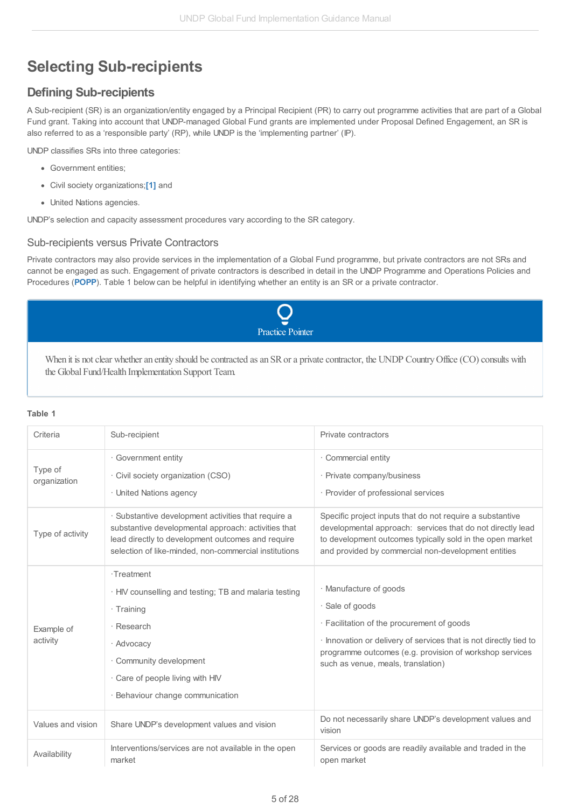# <span id="page-4-0"></span>**Selecting Sub-recipients**

## <span id="page-4-1"></span>**Defining Sub-recipients**

A Sub-recipient (SR) is an organization/entity engaged by a Principal Recipient (PR) to carry out programme activities that are part of a Global Fund grant. Taking into account that UNDP-managed Global Fund grants are implemented under Proposal Defined Engagement, an SR is also referred to as a 'responsible party' (RP), while UNDP is the 'implementing partner' (IP).

UNDP classifies SRs into three categories:

- Government entities;
- Civil society organizations;**[\[1\]](#page-3-2)** and
- United Nations agencies.

UNDP's selection and capacity assessment procedures vary according to the SR category.

### <span id="page-4-2"></span>Sub-recipients versus Private Contractors

Private contractors may also provide services in the implementation of a Global Fund programme, but private contractors are not SRs and cannot be engaged as such. Engagement of private contractors is described in detail in the UNDP Programme and Operations Policies and Procedures (**[POPP](http://api.undphealthimplementation.org/api.svc/proxy/https://popp.undp.org/SitePages/POPPSubject.aspx?SBJID=223)**). Table 1 below can be helpful in identifying whether an entity is an SR or a private contractor.



When it is not clear whether an entity should be contracted as an SR or a private contractor, the UNDP Country Office (CO) consults with the Global Fund/Health Implementation Support Team.

### **Table 1**

| Criteria                | Sub-recipient                                                                                                                                                                                                            | Private contractors                                                                                                                                                                                                                                           |
|-------------------------|--------------------------------------------------------------------------------------------------------------------------------------------------------------------------------------------------------------------------|---------------------------------------------------------------------------------------------------------------------------------------------------------------------------------------------------------------------------------------------------------------|
| Type of<br>organization | · Government entity<br>· Civil society organization (CSO)<br>· United Nations agency                                                                                                                                     | · Commercial entity<br>· Private company/business<br>· Provider of professional services                                                                                                                                                                      |
| Type of activity        | · Substantive development activities that require a<br>substantive developmental approach: activities that<br>lead directly to development outcomes and require<br>selection of like-minded, non-commercial institutions | Specific project inputs that do not require a substantive<br>developmental approach: services that do not directly lead<br>to development outcomes typically sold in the open market<br>and provided by commercial non-development entities                   |
| Example of<br>activity  | ·Treatment<br>· HIV counselling and testing; TB and malaria testing<br>· Training<br>· Research<br>· Advocacy<br>· Community development<br>. Care of people living with HIV<br>· Behaviour change communication         | · Manufacture of goods<br>· Sale of goods<br>· Facilitation of the procurement of goods<br>· Innovation or delivery of services that is not directly tied to<br>programme outcomes (e.g. provision of workshop services<br>such as venue, meals, translation) |
| Values and vision       | Share UNDP's development values and vision                                                                                                                                                                               | Do not necessarily share UNDP's development values and<br>vision                                                                                                                                                                                              |
| Availability            | Interventions/services are not available in the open<br>market                                                                                                                                                           | Services or goods are readily available and traded in the<br>open market                                                                                                                                                                                      |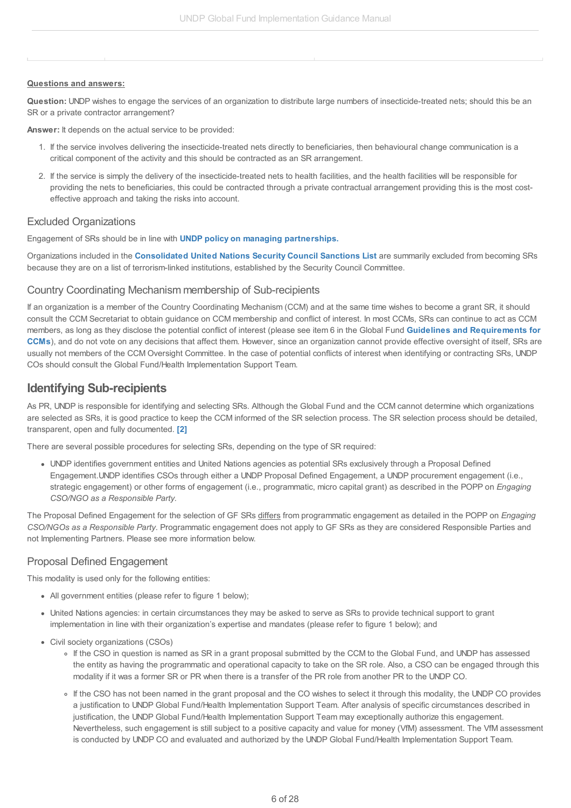#### **Questions and answers:**

**Question:** UNDP wishes to engage the services of an organization to distribute large numbers of insecticide-treated nets; should this be an SR or a private contractor arrangement?

**Answer:** It depends on the actual service to be provided:

- 1. If the service involves delivering the insecticide-treated nets directly to beneficiaries, then behavioural change communication is a critical component of the activity and this should be contracted as an SR arrangement.
- 2. If the service is simply the delivery of the insecticide-treated nets to health facilities, and the health facilities will be responsible for providing the nets to beneficiaries, this could be contracted through a private contractual arrangement providing this is the most costeffective approach and taking the risks into account.

### <span id="page-5-0"></span>Excluded Organizations

Engagement of SRs should be in line with **UNDP policy on managing [partnerships](http://api.undphealthimplementation.org/api.svc/proxy/https://popp.undp.org/SitePages/POPPSubject.aspx?SBJID=288)[.](http://api.undphealthimplementation.org/api.svc/proxy/https://popp.undp.org/SitePages/POPPSubject.aspx)**

Organizations included in the **[Consolidated](http://api.undphealthimplementation.org/api.svc/proxy/https://www.un.org/sc/suborg/en/sanctions/un-sc-consolidated-list) United Nations Security Council Sanctions List** are summarily excluded from becoming SRs because they are on a list of terrorism-linked institutions, established by the Security Council Committee.

### <span id="page-5-1"></span>Country Coordinating Mechanism membership of Sub-recipients

If an organization is a member of the Country Coordinating Mechanism (CCM) and at the same time wishes to become a grant SR, it should consult the CCM Secretariat to obtain guidance on CCM membership and conflict of interest. In most CCMs, SRs can continue to act as CCM members, as long as they disclose the potential conflict of interest (please see item 6 in the Global Fund **Guidelines and [Requirements](http://api.undphealthimplementation.org/api.svc/proxy/https://www.theglobalfund.org/media/1285/ccm_requirements_guidelines_en.pdf) for CCMs**), and do not vote on any decisions that affect them. However, since an organization cannot provide effective oversight of itself, SRs are usually not members of the CCM Oversight Committee. In the case of potential conflicts of interest when identifying or contracting SRs, UNDP COs should consult the Global Fund/Health Implementation Support Team.

### <span id="page-5-2"></span>**Identifying Sub-recipients**

As PR, UNDP is responsible for identifying and selecting SRs. Although the Global Fund and the CCM cannot determine which organizations are selected as SRs, it is good practice to keep the CCM informed of the SR selection process. The SR selection process should be detailed, transparent, open and fully documented. **[\[2\]](#page-3-3)**

There are several possible procedures for selecting SRs, depending on the type of SR required:

UNDP identifies government entities and United Nations agencies as potential SRs exclusively through a Proposal Defined Engagement.UNDP identifies CSOs through either a UNDP Proposal Defined Engagement, a UNDP procurement engagement (i.e., strategic engagement) or other forms of engagement (i.e., programmatic, micro capital grant) as described in the POPP on *Engaging CSO/NGO as a Responsible Party.*

The Proposal Defined Engagement for the selection of GF SRs differs from programmatic engagement as detailed in the POPP on *Engaging CSO/NGOs as a Responsible Party*. Programmatic engagement does not apply to GF SRs as they are considered Responsible Parties and not Implementing Partners. Please see more information below.

### <span id="page-5-3"></span>Proposal Defined Engagement

This modality is used only for the following entities:

- All government entities (please refer to figure 1 below);
- United Nations agencies: in certain circumstances they may be asked to serve as SRs to provide technical support to grant implementation in line with their organization's expertise and mandates (please refer to figure 1 below); and
- Civil society organizations (CSOs)
	- If the CSO in question is named as SR in a grant proposal submitted by the CCM to the Global Fund, and UNDP has assessed the entity as having the programmatic and operational capacity to take on the SR role. Also, a CSO can be engaged through this modality if it was a former SR or PR when there is a transfer of the PR role from another PR to the UNDP CO.
	- If the CSO has not been named in the grant proposal and the CO wishes to select it through this modality, the UNDP CO provides a justification to UNDP Global Fund/Health Implementation Support Team. After analysis of specific circumstances described in justification, the UNDP Global Fund/Health Implementation Support Team may exceptionally authorize this engagement. Nevertheless, such engagement is still subject to a positive capacity and value for money (VfM) assessment. The VfM assessment is conducted by UNDP CO and evaluated and authorized by the UNDP Global Fund/Health Implementation Support Team.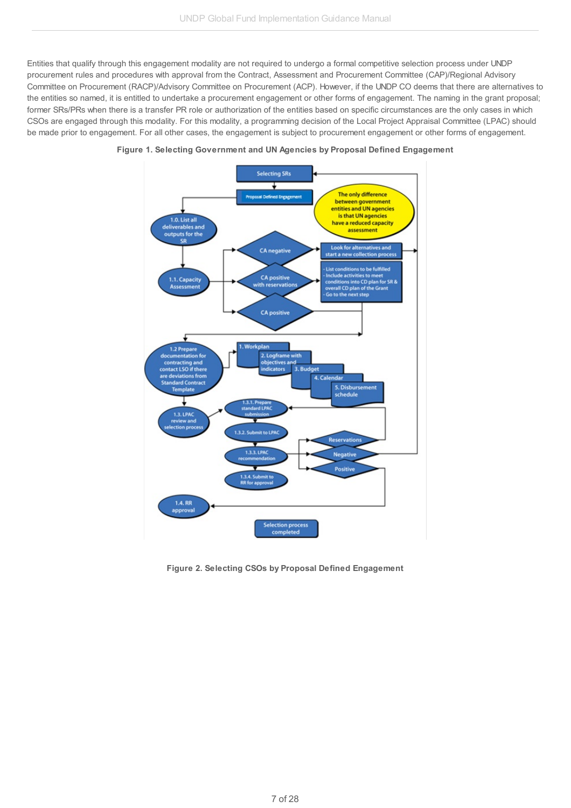Entities that qualify through this engagement modality are not required to undergo a formal competitive selection process under UNDP procurement rules and procedures with approval from the Contract, Assessment and Procurement Committee (CAP)/Regional Advisory Committee on Procurement (RACP)/Advisory Committee on Procurement (ACP). However, if the UNDP CO deems that there are alternatives to the entities so named, it is entitled to undertake a procurement engagement or other forms of engagement. The naming in the grant proposal; former SRs/PRs when there is a transfer PR role or authorization of the entities based on specific circumstances are the only cases in which CSOs are engaged through this modality. For this modality, a programming decision of the Local Project Appraisal Committee (LPAC) should be made prior to engagement. For all other cases, the engagement is subject to procurement engagement or other forms of engagement.





**Figure 2. Selecting CSOs by Proposal Defined Engagement**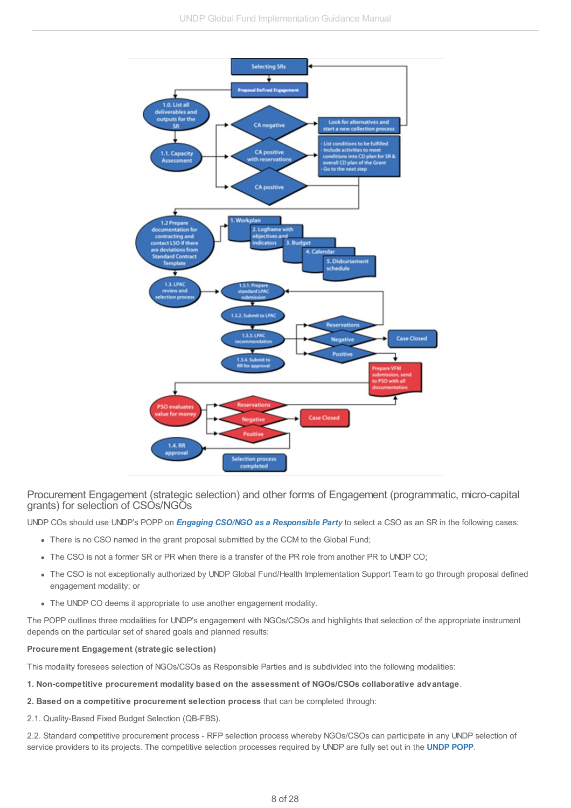

<span id="page-7-0"></span>Procurement Engagement (strategic selection) and other forms of Engagement (programmatic, micro-capital grants) for selection of CSOs/NGOs

UNDP COs should use UNDP's POPP on *Engaging CSO/NGO as a [Responsible](http://api.undphealthimplementation.org/api.svc/proxy/https://popp.undp.org/SitePages/POPPSubject.aspx?SBJID=223) Party* to select a CSO as an SR in the following cases:

- There is no CSO named in the grant proposal submitted by the CCM to the Global Fund;
- The CSO is not a former SR or PR when there is a transfer of the PR role from another PR to UNDP CO;
- The CSO is not exceptionally authorized by UNDP Global Fund/Health Implementation Support Team to go through proposal defined engagement modality; or
- The UNDP CO deems it appropriate to use another engagement modality.

The POPP outlines three modalities for UNDP's engagement with NGOs/CSOs and highlights that selection of the appropriate instrument depends on the particular set of shared goals and planned results:

#### **Procurement Engagement (strategic selection)**

This modality foresees selection of NGOs/CSOs as Responsible Parties and is subdivided into the following modalities:

- **1. Non-competitive procurement modality based on the assessment of NGOs/CSOs collaborative advantage**.
- **2. Based on a competitive procurement selection process** that can be completed through:
- 2.1. Quality-Based Fixed Budget Selection (QB-FBS).

2.2. Standard competitive procurement process - RFP selection process whereby NGOs/CSOs can participate in any UNDP selection of service providers to its projects. The competitive selection processes required by UNDP are fully set out in the **[UNDP](http://api.undphealthimplementation.org/api.svc/proxy/http://api.undphealthimplementation.org/api.svc/proxy/https:/popp.undp.org/SitePages/POPPSubject.aspx?SBJID=225) POPP**.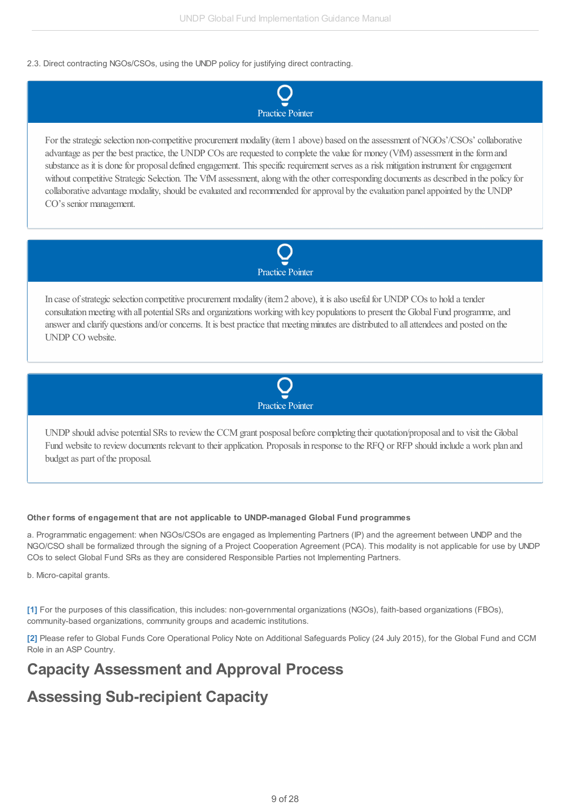### 2.3. Direct contracting NGOs/CSOs, using the UNDP policy for justifying direct contracting.



For the strategic selection non-competitive procurement modality (item 1 above) based on the assessment of NGOs'/CSOs' collaborative advantage as per the best practice, the UNDP COs are requested to complete the value for money (VfM) assessment in the form and substance as it is done for proposal defined engagement. This specific requirement serves as a risk mitigation instrument for engagement without competitive Strategic Selection. The VfM assessment, along with the other corresponding documents as described in the policy for collaborative advantage modality, should be evaluated and recommended for approval by the evaluation panel appointed by the UNDP CO's senior management.



In case of strategic selection competitive procurement modality (item 2 above), it is also useful for UNDP COs to hold a tender consultation meeting with all potential SRs and organizations working with key populations to present the Global Fund programme, and answer and clarify questions and/or concerns. It is best practice that meeting minutes are distributed to all attendees and posted on the UNDP CO website.



UNDP should advise potential SRs to review the CCM grant posposal before completing their quotation/proposal and to visit the Global Fund website to review documents relevant to their application. Proposals in response to the RFQ or RFP should include a work plan and budget as part of the proposal.

### **Other forms of engagement that are not applicable to UNDP-managed Global Fund programmes**

a. Programmatic engagement: when NGOs/CSOs are engaged as Implementing Partners (IP) and the agreement between UNDP and the NGO/CSO shall be formalized through the signing of a Project Cooperation Agreement (PCA). This modality is not applicable for use by UNDP COs to select Global Fund SRs as they are considered Responsible Parties not Implementing Partners.

b. Micro-capital grants.

**[\[1\]](#page-2-7)** For the purposes of this classification, this includes: non-governmental organizations (NGOs), faith-based organizations (FBOs), community-based organizations, community groups and academic institutions.

**[\[2\]](#page-2-8)** Please refer to Global Funds Core Operational Policy Note on Additional Safeguards Policy (24 July 2015), for the Global Fund and CCM Role in an ASP Country.

## <span id="page-8-0"></span>**Capacity Assessment and Approval Process**

# <span id="page-8-1"></span>**Assessing Sub-recipient Capacity**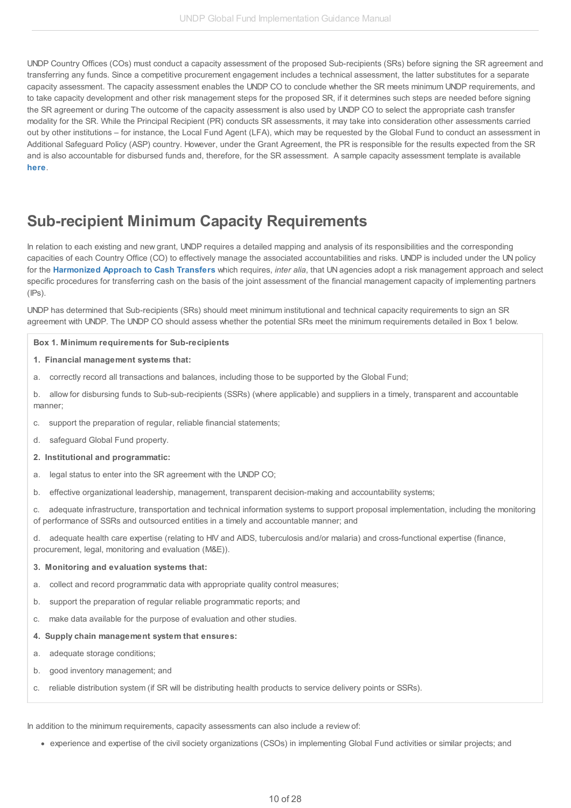UNDP Country Offices (COs) must conduct a capacity assessment of the proposed Sub-recipients (SRs) before signing the SR agreement and transferring any funds. Since a competitive procurement engagement includes a technical assessment, the latter substitutes for a separate capacity assessment. The capacity assessment enables the UNDP CO to conclude whether the SR meets minimum UNDP requirements, and to take capacity development and other risk management steps for the proposed SR, if it determines such steps are needed before signing the SR agreement or during The outcome of the capacity assessment is also used by UNDP CO to select the appropriate cash transfer modality for the SR. While the Principal Recipient (PR) conducts SR assessments, it may take into consideration other assessments carried out by other institutions – for instance, the Local Fund Agent (LFA), which may be requested by the Global Fund to conduct an assessment in Additional Safeguard Policy (ASP) country. However, under the Grant Agreement, the PR is responsible for the results expected from the SR and is also accountable for disbursed funds and, therefore, for the SR assessment. A sample capacity assessment template is available **[here](http://api.undphealthimplementation.org/api.svc/proxy/http://api.undphealthimplementation.org/api.svc/proxy/https:/intranet.undp.org/unit/bpps/hhd/GFpartnership/UNDPasPR/Subrecipient Management/SR Capacity Assessment tool.xls)**.

## <span id="page-9-0"></span>**Sub-recipient Minimum Capacity Requirements**

In relation to each existing and new grant, UNDP requires a detailed mapping and analysis of its responsibilities and the corresponding capacities of each Country Office (CO) to effectively manage the associated accountabilities and risks. UNDP is included under the UN policy for the **[Harmonized](http://api.undphealthimplementation.org/api.svc/proxy/https://popp.undp.org/UNDP_POPP_DOCUMENT_LIBRARY/Public/FRM_Financial Management and Implementation Modalities _Harmonized Approach to Cash Transfers (HACT).docx) Approach to Cash Transfers** which requires, *inter alia*, that UN agencies adopt a risk management approach and select specific procedures for transferring cash on the basis of the joint assessment of the financial management capacity of implementing partners  $(IPs)$ .

UNDP has determined that Sub-recipients (SRs) should meet minimum institutional and technical capacity requirements to sign an SR agreement with UNDP. The UNDP CO should assess whether the potential SRs meet the minimum requirements detailed in Box 1 below.

#### **Box 1. Minimum requirements for Sub-recipients**

#### **1. Financial management systems that:**

- a. correctly record all transactions and balances, including those to be supported by the Global Fund;
- b. allow for disbursing funds to Sub-sub-recipients (SSRs) (where applicable) and suppliers in a timely, transparent and accountable manner;
- c. support the preparation of regular, reliable financial statements;
- d. safeguard Global Fund property.
- **2. Institutional and programmatic:**
- a. legal status to enter into the SR agreement with the UNDP CO;
- b. effective organizational leadership, management, transparent decision-making and accountability systems;
- c. adequate infrastructure, transportation and technical information systems to support proposal implementation, including the monitoring of performance of SSRs and outsourced entities in a timely and accountable manner; and

d. adequate health care expertise (relating to HIV and AIDS, tuberculosis and/or malaria) and cross-functional expertise (finance, procurement, legal, monitoring and evaluation (M&E)).

#### **3. Monitoring and evaluation systems that:**

- a. collect and record programmatic data with appropriate quality control measures;
- b. support the preparation of regular reliable programmatic reports; and
- c. make data available for the purpose of evaluation and other studies.

#### **4. Supply chain management system that ensures:**

- a. adequate storage conditions;
- b. good inventory management; and
- c. reliable distribution system (if SR will be distributing health products to service delivery points or SSRs).

In addition to the minimum requirements, capacity assessments can also include a review of:

experience and expertise of the civil society organizations (CSOs) in implementing Global Fund activities or similar projects; and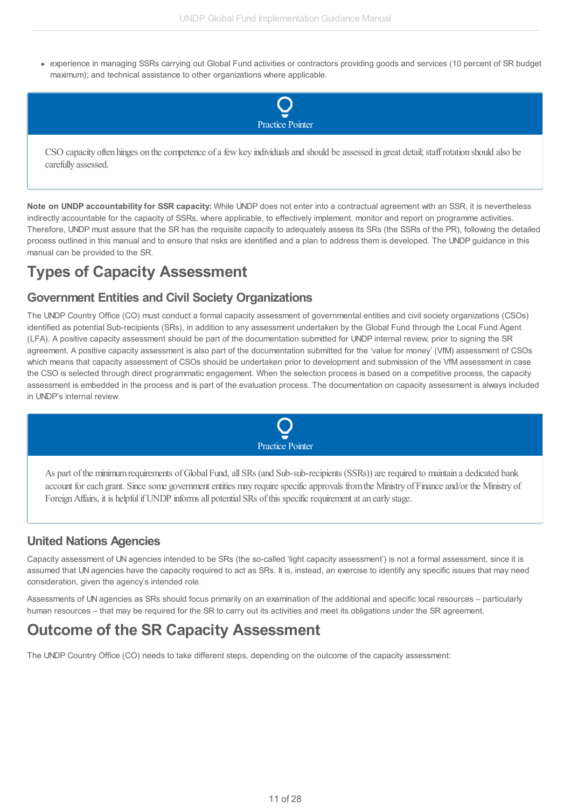• experience in managing SSRs carrying out Global Fund activities or contractors providing goods and services (10 percent of SR budget maximum); and technical assistance to other organizations where applicable.



CSO capacity often hinges on the competence of a few key individuals and should be assessed in great detail; staff rotation should also be carefully assessed.

**Note on UNDP accountability for SSR capacity:** While UNDP does not enter into a contractual agreement with an SSR, it is nevertheless indirectly accountable for the capacity of SSRs, where applicable, to effectively implement, monitor and report on programme activities. Therefore, UNDP must assure that the SR has the requisite capacity to adequately assess its SRs (the SSRs of the PR), following the detailed process outlined in this manual and to ensure that risks are identified and a plan to address them is developed. The UNDP guidance in this manual can be provided to the SR.

# <span id="page-10-0"></span>**Types of Capacity Assessment**

## <span id="page-10-1"></span>**Government Entities and Civil Society Organizations**

The UNDP Country Office (CO) must conduct a formal capacity assessment of governmental entities and civil society organizations (CSOs) identified as potential Sub-recipients (SRs), in addition to any assessment undertaken by the Global Fund through the Local Fund Agent (LFA). A positive capacity assessment should be part of the documentation submitted for UNDP internal review, prior to signing the SR agreement. A positive capacity assessment is also part of the documentation submitted for the 'value for money' (VfM) assessment of CSOs which means that capacity assessment of CSOs should be undertaken prior to development and submission of the VfM assessment in case the CSO is selected through direct programmatic engagement. When the selection process is based on a competitive process, the capacity assessment is embedded in the process and is part of the evaluation process. The documentation on capacity assessment is always included in UNDP's internal review.



As part of the minimum requirements of Global Fund, all SRs (and Sub-sub-recipients (SSRs)) are required to maintain a dedicated bank account for each grant. Since some government entities may require specific approvals from the Ministry of Finance and/or the Ministry of Foreign Affairs, it is helpful if UNDP informs all potential SRs of this specific requirement at an early stage.

## <span id="page-10-2"></span>**United Nations Agencies**

Capacity assessment of UN agencies intended to be SRs (the so-called 'light capacity assessment') is not a formal assessment, since it is assumed that UN agencies have the capacity required to act as SRs. It is, instead, an exercise to identify any specific issues that may need consideration, given the agency's intended role.

Assessments of UN agencies as SRs should focus primarily on an examination of the additional and specific local resources – particularly human resources – that may be required for the SR to carry out its activities and meet its obligations under the SR agreement.

## <span id="page-10-3"></span>**Outcome of the SR Capacity Assessment**

The UNDP Country Office (CO) needs to take different steps, depending on the outcome of the capacity assessment: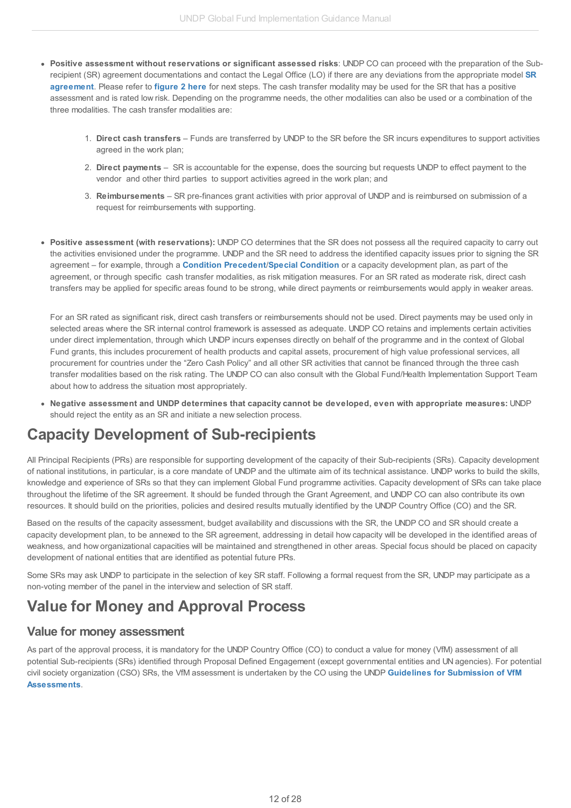- **Positive assessment without reservations or significant assessed risks**: UNDP CO can proceed with the preparation of the Subrecipient (SR) agreement [documentations](http://undphealthimplementation.org/functional-areas/legal-framework/agreements-with-sub-recipients/) and contact the Legal Office (LO) if there are any deviations from the appropriate model **SR agreement**. Please refer to **[figure](http://undphealthimplementation.org/functional-areas/sub-recipient-management/selecting-sub-recipients/#fig2) 2 here** for next steps. The cash transfer modality may be used for the SR that has a positive assessment and is rated low risk. Depending on the programme needs, the other modalities can also be used or a combination of the three modalities. The cash transfer modalities are:
	- 1. **Direct cash transfers** Funds are transferred by UNDP to the SR before the SR incurs expenditures to support activities agreed in the work plan;
	- 2. **Direct payments** SR is accountable for the expense, does the sourcing but requests UNDP to effect payment to the vendor and other third parties to support activities agreed in the work plan; and
	- 3. **Reimbursements** SR pre-finances grant activities with prior approval of UNDP and is reimbursed on submission of a request for reimbursements with supporting.
- **Positive assessment (with reservations):** UNDP CO determines that the SR does not possess all the required capacity to carry out the activities envisioned under the programme. UNDP and the SR need to address the identified capacity issues prior to signing the SR agreement – for example, through a **Condition [Precedent](http://undphealthimplementation.org/functional-areas/legal-framework/the-grant-agreement/grant-confirmation-conditions/)**/**Special [Condition](http://undphealthimplementation.org/functional-areas/legal-framework/the-grant-agreement/grant-confirmation-conditions-precedent-cp/)** or a capacity development plan, as part of the agreement, or through specific cash transfer modalities, as risk mitigation measures. For an SR rated as moderate risk, direct cash transfers may be applied for specific areas found to be strong, while direct payments or reimbursements would apply in weaker areas.

For an SR rated as significant risk, direct cash transfers or reimbursements should not be used. Direct payments may be used only in selected areas where the SR internal control framework is assessed as adequate. UNDP CO retains and implements certain activities under direct implementation, through which UNDP incurs expenses directly on behalf of the programme and in the context of Global Fund grants, this includes procurement of health products and capital assets, procurement of high value professional services, all procurement for countries under the "Zero Cash Policy" and all other SR activities that cannot be financed through the three cash transfer modalities based on the risk rating. The UNDP CO can also consult with the Global Fund/Health Implementation Support Team about how to address the situation most appropriately.

**Negative assessment and UNDP determines that capacity cannot be developed, even with appropriate measures:** UNDP should reject the entity as an SR and initiate a new selection process.

# <span id="page-11-0"></span>**Capacity Development of Sub-recipients**

All Principal Recipients (PRs) are responsible for supporting development of the capacity of their Sub-recipients (SRs). Capacity development of national institutions, in particular, is a core mandate of UNDP and the ultimate aim of its technical assistance. UNDP works to build the skills, knowledge and experience of SRs so that they can implement Global Fund programme activities. Capacity development of SRs can take place throughout the lifetime of the SR agreement. It should be funded through the Grant Agreement, and UNDP CO can also contribute its own resources. It should build on the priorities, policies and desired results mutually identified by the UNDP Country Office (CO) and the SR.

Based on the results of the capacity assessment, budget availability and discussions with the SR, the UNDP CO and SR should create a capacity development plan, to be annexed to the SR agreement, addressing in detail how capacity will be developed in the identified areas of weakness, and how organizational capacities will be maintained and strengthened in other areas. Special focus should be placed on capacity development of national entities that are identified as potential future PRs.

Some SRs may ask UNDP to participate in the selection of key SR staff. Following a formal request from the SR, UNDP may participate as a non-voting member of the panel in the interview and selection of SR staff.

## <span id="page-11-1"></span>**Value for Money and Approval Process**

### <span id="page-11-2"></span>**Value for money assessment**

As part of the approval process, it is mandatory for the UNDP Country Office (CO) to conduct a value for money (VfM) assessment of all potential Sub-recipients (SRs) identified through Proposal Defined Engagement (except governmental entities and UN agencies). For potential civil society organization (CSO) SRs, the VfM assessment is undertaken by the CO using the UNDP **Guidelines for [Submission](http://api.undphealthimplementation.org/api.svc/proxy/http://api.undphealthimplementation.org/api.svc/proxy/http:/api.undphealthimplementation.org/api.svc/proxy/https:/intranet.undp.org/unit/bpps/hhd/GFpartnership/UNDPasPR/Subrecipient Management/Guidelines for Submission of Value for Money Assessments to GFHIST.docx) of VfM Assessments**.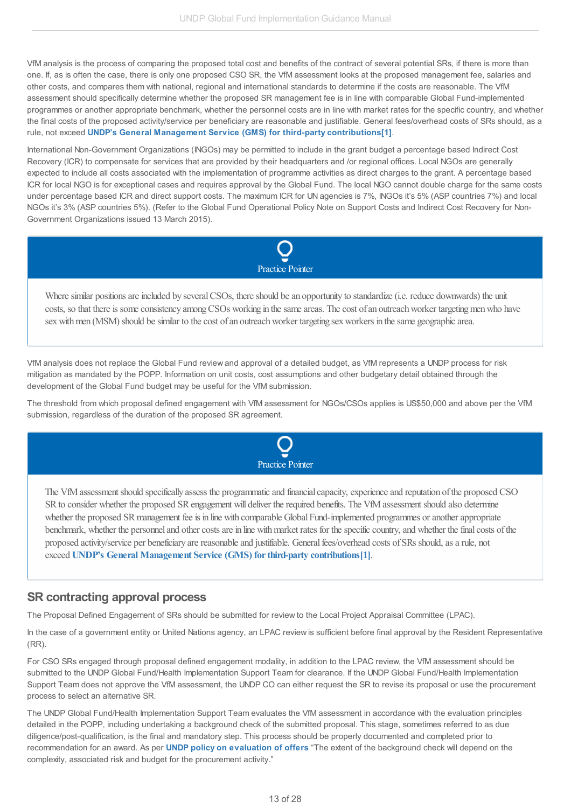VfM analysis is the process of comparing the proposed total cost and benefits of the contract of several potential SRs, if there is more than one. If, as is often the case, there is only one proposed CSO SR, the VfM assessment looks at the proposed management fee, salaries and other costs, and compares them with national, regional and international standards to determine if the costs are reasonable. The VfM assessment should specifically determine whether the proposed SR management fee is in line with comparable Global Fund-implemented programmes or another appropriate benchmark, whether the personnel costs are in line with market rates for the specific country, and whether the final costs of the proposed activity/service per beneficiary are reasonable and justifiable. General fees/overhead costs of SRs should, as a rule, not exceed **UNDP's General Management Service (GMS) for third-party [contributions](http://api.undphealthimplementation.org/api.svc/proxy/http://api.undphealthimplementation.org/api.svc/proxy/https:/popp.undp.org/UNDP_POPP_DOCUMENT_LIBRARY/Public/FRM_Resource Planning and Cost Recovery_Cost Recovery_Cost Recovery from Other Resources - GMS.docx)[\[1\]](#page-3-2)**.

International Non-Government Organizations (INGOs) may be permitted to include in the grant budget a percentage based Indirect Cost Recovery (ICR) to compensate for services that are provided by their headquarters and /or regional offices. Local NGOs are generally expected to include all costs associated with the implementation of programme activities as direct charges to the grant. A percentage based ICR for local NGO is for exceptional cases and requires approval by the Global Fund. The local NGO cannot double charge for the same costs under percentage based ICR and direct support costs. The maximum ICR for UN agencies is 7%, INGOs it's 5% (ASP countries 7%) and local NGOs it's 3% (ASP countries 5%). (Refer to the Global Fund Operational Policy Note on Support Costs and Indirect Cost Recovery for Non-Government Organizations issued 13 March 2015).



Where similar positions are included by several CSOs, there should be an opportunity to standardize (i.e. reduce downwards) the unit costs, so that there is some consistency among CSOs working in the same areas. The cost of an outreach worker targeting men who have sex with men (MSM) should be similar to the cost of an outreach worker targeting sex workers in the same geographic area.

VfM analysis does not replace the Global Fund review and approval of a detailed budget, as VfM represents a UNDP process for risk mitigation as mandated by the POPP. Information on unit costs, cost assumptions and other budgetary detail obtained through the development of the Global Fund budget may be useful for the VfM submission.

The threshold from which proposal defined engagement with VfM assessment for NGOs/CSOs applies is US\$50,000 and above per the VfM submission, regardless of the duration of the proposed SR agreement.



The VfMassessmentshould specifically assess the programmaticand financialcapacity,experienceand reputation ofthe proposed CSO SR to consider whether the proposed SR engagement will deliver the required benefits. The VfM assessment should also determine whether the proposed SR management fee is in line with comparable Global Fund-implemented programmes or another appropriate benchmark, whether the personnel and other costs are in line with market rates for the specific country, and whether the final costs of the proposed activity/service per beneficiary are reasonable and justifiable. General fees/overhead costs of SRs should, as a rule, not exceed **UNDP's General Management Service (GMS) [forthird-party](http://api.undphealthimplementation.org/api.svc/proxy/http://api.undphealthimplementation.org/api.svc/proxy/http:/api.undphealthimplementation.org/api.svc/proxy/https:/popp.undp.org/UNDP_POPP_DOCUMENT_LIBRARY/Public/FRM_Resource Planning and Cost Recovery_Cost Recovery_Cost Recovery from Other Resources - GMS.docx) contributions[\[1\]](http://api.undphealthimplementation.org/api.svc/proxy/http://www.undphealthimplementation.org/functional-areas/sub-recipient-management/capacity-assessment-and-approval-process/value-for-money-and-approval-process/#_ftn1)**.

### <span id="page-12-0"></span>**SR contracting approval process**

The Proposal Defined Engagement of SRs should be submitted for review to the Local Project Appraisal Committee (LPAC).

In the case of a government entity or United Nations agency, an LPAC review is sufficient before final approval by the Resident Representative (RR).

For CSO SRs engaged through proposal defined engagement modality, in addition to the LPAC review, the VfM assessment should be submitted to the UNDP Global Fund/Health Implementation Support Team for clearance. If the UNDP Global Fund/Health Implementation Support Team does not approve the VfM assessment, the UNDP CO can either request the SR to revise its proposal or use the procurement process to select an alternative SR.

The UNDP Global Fund/Health Implementation Support Team evaluates the VfM assessment in accordance with the evaluation principles detailed in the POPP, including undertaking a background check of the submitted proposal. This stage, sometimes referred to as due diligence/post-qualification, is the final and mandatory step. This process should be properly documented and completed prior to recommendation for an award. As per **UNDP policy on [evaluation](http://api.undphealthimplementation.org/api.svc/proxy/http://api.undphealthimplementation.org/api.svc/proxy/https:/popp.undp.org/SitePages/POPPSubject.aspx?SBJID=227) of offers** "The extent of the background check will depend on the complexity, associated risk and budget for the procurement activity."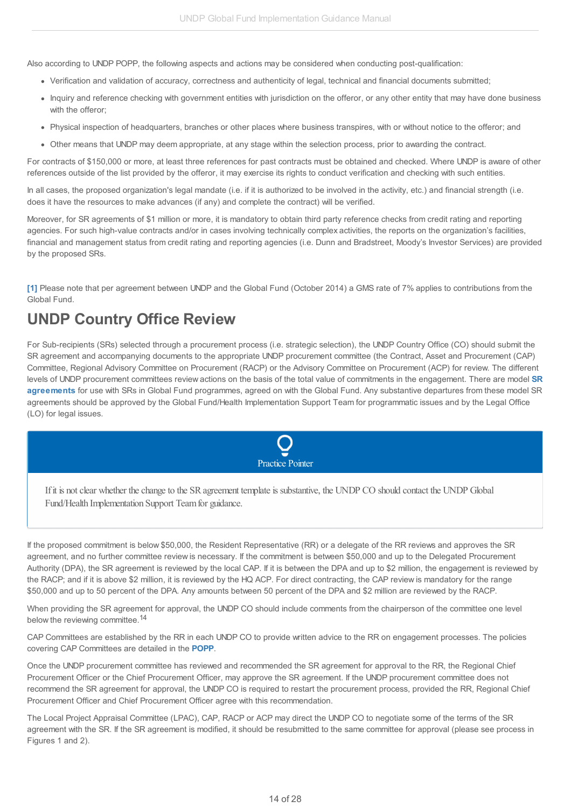Also according to UNDP POPP, the following aspects and actions may be considered when conducting post-qualification:

- Verification and validation of accuracy, correctness and authenticity of legal, technical and financial documents submitted;
- Inquiry and reference checking with government entities with jurisdiction on the offeror, or any other entity that may have done business with the offeror;
- Physical inspection of headquarters, branches or other places where business transpires, with or without notice to the offeror; and
- Other means that UNDP may deem appropriate, at any stage within the selection process, prior to awarding the contract.

For contracts of \$150,000 or more, at least three references for past contracts must be obtained and checked. Where UNDP is aware of other references outside of the list provided by the offeror, it may exercise its rights to conduct verification and checking with such entities.

In all cases, the proposed organization's legal mandate (i.e. if it is authorized to be involved in the activity, etc.) and financial strength (i.e. does it have the resources to make advances (if any) and complete the contract) will be verified.

Moreover, for SR agreements of \$1 million or more, it is mandatory to obtain third party reference checks from credit rating and reporting agencies. For such high-value contracts and/or in cases involving technically complex activities, the reports on the organization's facilities, financial and management status from credit rating and reporting agencies (i.e. Dunn and Bradstreet, Moody's Investor Services) are provided by the proposed SRs.

**[\[1\]](#page-2-7)** Please note that per agreement between UNDP and the Global Fund (October 2014) a GMS rate of 7% applies to contributions from the Global Fund.

# <span id="page-13-0"></span>**UNDP Country Office Review**

For Sub-recipients (SRs) selected through a procurement process (i.e. strategic selection), the UNDP Country Office (CO) should submit the SR agreement and accompanying documents to the appropriate UNDP procurement committee (the Contract, Asset and Procurement (CAP) Committee, Regional Advisory Committee on Procurement (RACP) or the Advisory Committee on Procurement (ACP) for review. The different levels of UNDP procurement committees review actions on the basis of the total value of commitments in the [engagement.](http://undphealthimplementation.org/functional-areas/legal-framework/agreements-with-sub-recipients/) There are model **SR agreements** for use with SRs in Global Fund programmes, agreed on with the Global Fund. Any substantive departures from these model SR agreements should be approved by the Global Fund/Health Implementation Support Team for programmatic issues and by the Legal Office (LO) for legal issues.



If it is not clear whether the change to the SR agreement template is substantive, the UNDP CO should contact the UNDP Global Fund/Health Implementation Support Teamfor guidance.

If the proposed commitment is below \$50,000, the Resident Representative (RR) or a delegate of the RR reviews and approves the SR agreement, and no further committee review is necessary. If the commitment is between \$50,000 and up to the Delegated Procurement Authority (DPA), the SR agreement is reviewed by the local CAP. If it is between the DPA and up to \$2 million, the engagement is reviewed by the RACP; and if it is above \$2 million, it is reviewed by the HQ ACP. For direct contracting, the CAP review is mandatory for the range \$50,000 and up to 50 percent of the DPA. Any amounts between 50 percent of the DPA and \$2 million are reviewed by the RACP.

When providing the SR agreement for approval, the UNDP CO should include comments from the chairperson of the committee one level below the reviewing committee.<sup>14</sup>

CAP Committees are established by the RR in each UNDP CO to provide written advice to the RR on engagement processes. The policies covering CAP Committees are detailed in the **[POPP](http://api.undphealthimplementation.org/api.svc/proxy/https://popp.undp.org/SitePages/POPPSubject.aspx?SBJID=228)**.

Once the UNDP procurement committee has reviewed and recommended the SR agreement for approval to the RR, the Regional Chief Procurement Officer or the Chief Procurement Officer, may approve the SR agreement. If the UNDP procurement committee does not recommend the SR agreement for approval, the UNDP CO is required to restart the procurement process, provided the RR, Regional Chief Procurement Officer and Chief Procurement Officer agree with this recommendation.

The Local Project Appraisal Committee (LPAC), CAP, RACP or ACP may direct the UNDP CO to negotiate some of the terms of the SR agreement with the SR. If the SR agreement is modified, it should be resubmitted to the same committee for approval (please see process in Figures 1 and 2).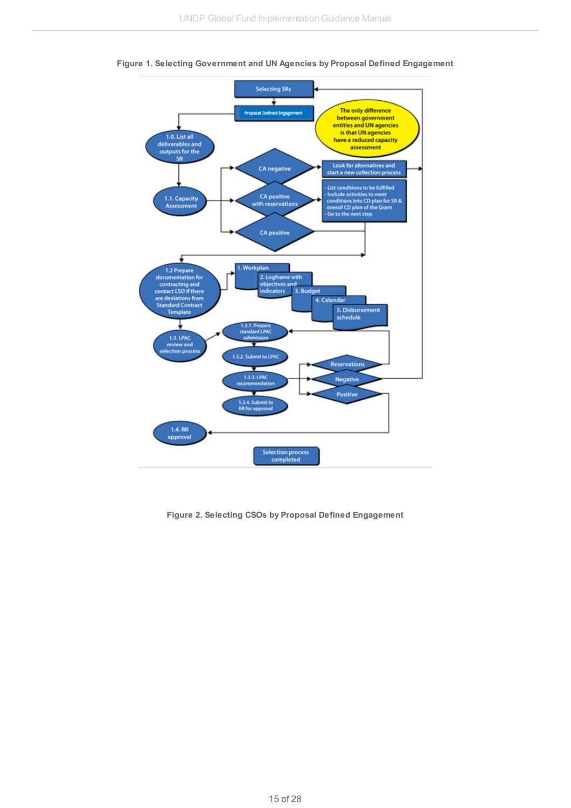



**Figure 2. Selecting CSOs by Proposal Defined Engagement**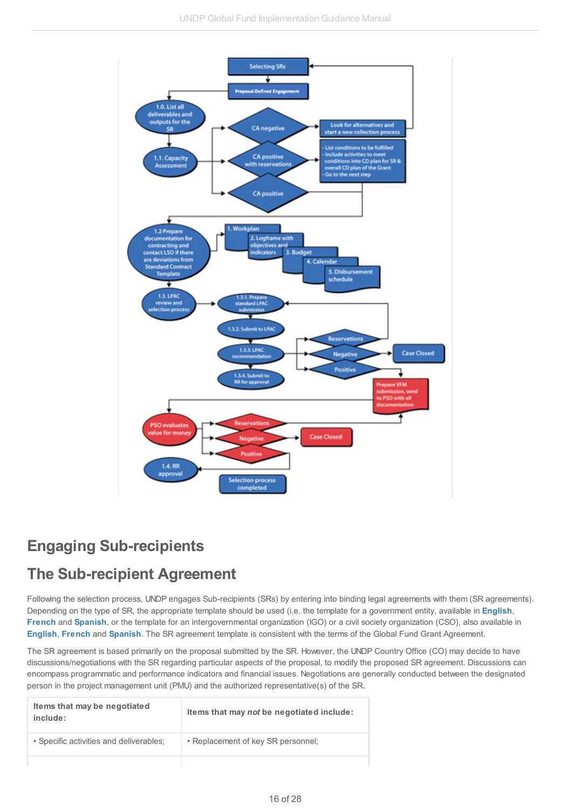

# <span id="page-15-0"></span>**Engaging Sub-recipients**

## <span id="page-15-1"></span>**The Sub-recipient Agreement**

Following the selection process, UNDP engages Sub-recipients (SRs) by entering into binding legal agreements with them (SR agreements). Depending on the type of SR, the appropriate template should be used (i.e. the template for a government entity, available in **[English](http://api.undphealthimplementation.org/api.svc/proxy/https://intranet.undp.org/unit/bpps/hhd/GFpartnership/UNDPasPR/Legal Framework for Global Fund Grant Implementati/Model UNDP SR Agreement with Government Entity, September 2012 - ENGLISH.doc)**, **[French](http://api.undphealthimplementation.org/api.svc/proxy/https://intranet.undp.org/unit/bpps/hhd/GFpartnership/UNDPasPR/Legal Framework for Global Fund Grant Implementati/Model UNDP SR agreement with Government, September 2012 - FRENCH.docx)** and **[Spanish](http://api.undphealthimplementation.org/api.svc/proxy/https://intranet.undp.org/unit/bpps/hhd/GFpartnership/UNDPasPR/Legal Framework for Global Fund Grant Implementati/Model UNDP SR Agreement with Government Entity, September 2012 - SPANISH.doc)**, or the template for an intergovernmental organization (IGO) or a civil society organization (CSO), also available in **[English](http://api.undphealthimplementation.org/api.svc/proxy/https://intranet.undp.org/unit/bpps/hhd/GFpartnership/UNDPasPR/Legal Framework for Global Fund Grant Implementati/Model UNDP SR Agreement with CSO, September 2012 - English.docx)**, **[French](http://api.undphealthimplementation.org/api.svc/proxy/https://intranet.undp.org/unit/bpps/hhd/GFpartnership/UNDPasPR/Legal Framework for Global Fund Grant Implementati/Model UNDP SR agreement with CSO,  September 2012 - FRENCH.docx)** and **[Spanish](http://api.undphealthimplementation.org/api.svc/proxy/https://intranet.undp.org/unit/bpps/hhd/GFpartnership/UNDPasPR/Legal Framework for Global Fund Grant Implementati/Model UNDP SR Agreement with CSO, September 2012 - SPANISH.doc)**. The SR agreement template is consistent with the terms of the Global Fund Grant Agreement.

The SR agreement is based primarily on the proposal submitted by the SR. However, the UNDP Country Office (CO) may decide to have discussions/negotiations with the SR regarding particular aspects of the proposal, to modify the proposed SR agreement. Discussions can encompass programmatic and performance indicators and financial issues. Negotiations are generally conducted between the designated person in the project management unit (PMU) and the authorized representative(s) of the SR.

| Items that may be negotiated<br>include: | Items that may not be negotiated include: |
|------------------------------------------|-------------------------------------------|
| • Specific activities and deliverables;  | • Replacement of key SR personnel;        |
|                                          |                                           |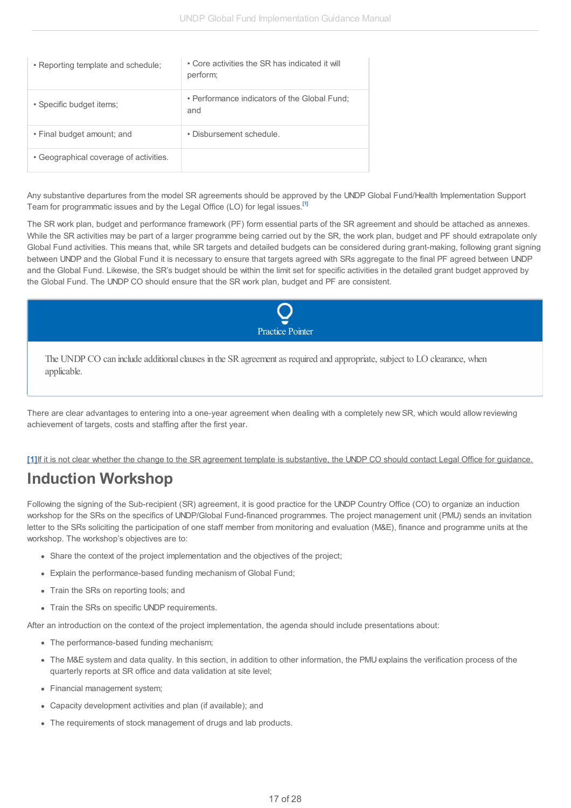| • Reporting template and schedule;     | • Core activities the SR has indicated it will<br>perform; |
|----------------------------------------|------------------------------------------------------------|
| • Specific budget items;               | • Performance indicators of the Global Fund;<br>and        |
| • Final budget amount; and             | • Disbursement schedule.                                   |
| • Geographical coverage of activities. |                                                            |

Any substantive departures from the model SR agreements should be approved by the UNDP Global Fund/Health Implementation Support Team for programmatic issues and by the Legal Office (LO) for legal issues. **[\[1\]](#page-3-2)**

The SR work plan, budget and performance framework (PF) form essential parts of the SR agreement and should be attached as annexes. While the SR activities may be part of a larger programme being carried out by the SR, the work plan, budget and PF should extrapolate only Global Fund activities. This means that, while SR targets and detailed budgets can be considered during grant-making, following grant signing between UNDP and the Global Fund it is necessary to ensure that targets agreed with SRs aggregate to the final PF agreed between UNDP and the Global Fund. Likewise, the SR's budget should be within the limit set for specific activities in the detailed grant budget approved by the Global Fund. The UNDP CO should ensure that the SR work plan, budget and PF are consistent.



The UNDP CO can include additional clauses in the SR agreement as required and appropriate, subject to LO clearance, when applicable.

There are clear advantages to entering into a one-year agreement when dealing with a completely new SR, which would allow reviewing achievement of targets, costs and staffing after the first year.

[\[1\]](#page-2-7) If it is not clear whether the change to the SR agreement template is substantive, the UNDP CO should contact Legal Office for guidance.

## <span id="page-16-0"></span>**Induction Workshop**

Following the signing of the Sub-recipient (SR) agreement, it is good practice for the UNDP Country Office (CO) to organize an induction workshop for the SRs on the specifics of UNDP/Global Fund-financed programmes. The project management unit (PMU) sends an invitation letter to the SRs soliciting the participation of one staff member from monitoring and evaluation (M&E), finance and programme units at the workshop. The workshop's objectives are to:

- Share the context of the project implementation and the objectives of the project;
- Explain the performance-based funding mechanism of Global Fund;
- Train the SRs on reporting tools; and
- Train the SRs on specific UNDP requirements.

After an introduction on the context of the project implementation, the agenda should include presentations about:

- The performance-based funding mechanism;
- The M&E system and data quality. In this section, in addition to other information, the PMU explains the verification process of the quarterly reports at SR office and data validation at site level;
- Financial management system;
- Capacity development activities and plan (if available); and
- The requirements of stock management of drugs and lab products.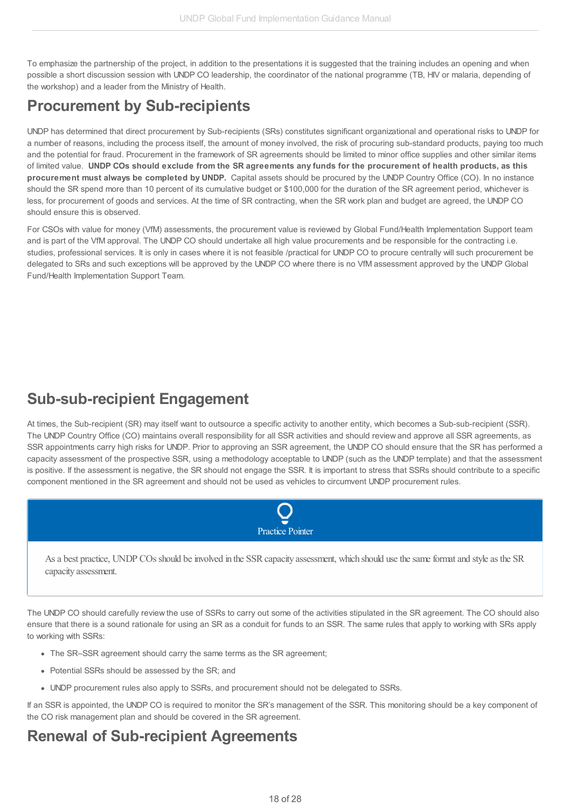To emphasize the partnership of the project, in addition to the presentations it is suggested that the training includes an opening and when possible a short discussion session with UNDP CO leadership, the coordinator of the national programme (TB, HIV or malaria, depending of the workshop) and a leader from the Ministry of Health.

# <span id="page-17-0"></span>**Procurement by Sub-recipients**

UNDP has determined that direct procurement by Sub-recipients (SRs) constitutes significant organizational and operational risks to UNDP for a number of reasons, including the process itself, the amount of money involved, the risk of procuring sub-standard products, paying too much and the potential for fraud. Procurement in the framework of SR agreements should be limited to minor office supplies and other similar items of limited value. UNDP COs should exclude from the SR agreements any funds for the procurement of health products, as this **procurement must always be completed by UNDP.** Capital assets should be procured by the UNDP Country Office (CO). In no instance should the SR spend more than 10 percent of its cumulative budget or \$100,000 for the duration of the SR agreement period, whichever is less, for procurement of goods and services. At the time of SR contracting, when the SR work plan and budget are agreed, the UNDP CO should ensure this is observed.

For CSOs with value for money (VfM) assessments, the procurement value is reviewed by Global Fund/Health Implementation Support team and is part of the VfM approval. The UNDP CO should undertake all high value procurements and be responsible for the contracting i.e. studies, professional services. It is only in cases where it is not feasible /practical for UNDP CO to procure centrally will such procurement be delegated to SRs and such exceptions will be approved by the UNDP CO where there is no VfM assessment approved by the UNDP Global Fund/Health Implementation Support Team.

## <span id="page-17-1"></span>**Sub-sub-recipient Engagement**

At times, the Sub-recipient (SR) may itself want to outsource a specific activity to another entity, which becomes a Sub-sub-recipient (SSR). The UNDP Country Office (CO) maintains overall responsibility for all SSR activities and should review and approve all SSR agreements, as SSR appointments carry high risks for UNDP. Prior to approving an SSR agreement, the UNDP CO should ensure that the SR has performed a capacity assessment of the prospective SSR, using a methodology acceptable to UNDP (such as the UNDP template) and that the assessment is positive. If the assessment is negative, the SR should not engage the SSR. It is important to stress that SSRs should contribute to a specific component mentioned in the SR agreement and should not be used as vehicles to circumvent UNDP procurement rules.



As a best practice, UNDP COs should be involved in the SSR capacity assessment, which should use the same format and style as the SR capacity assessment.

The UNDP CO should carefully review the use of SSRs to carry out some of the activities stipulated in the SR agreement. The CO should also ensure that there is a sound rationale for using an SR as a conduit for funds to an SSR. The same rules that apply to working with SRs apply to working with SSRs:

- The SR–SSR agreement should carry the same terms as the SR agreement;
- Potential SSRs should be assessed by the SR; and
- UNDP procurement rules also apply to SSRs, and procurement should not be delegated to SSRs.

If an SSR is appointed, the UNDP CO is required to monitor the SR's management of the SSR. This monitoring should be a key component of the CO risk management plan and should be covered in the SR agreement.

## <span id="page-17-2"></span>**Renewal of Sub-recipient Agreements**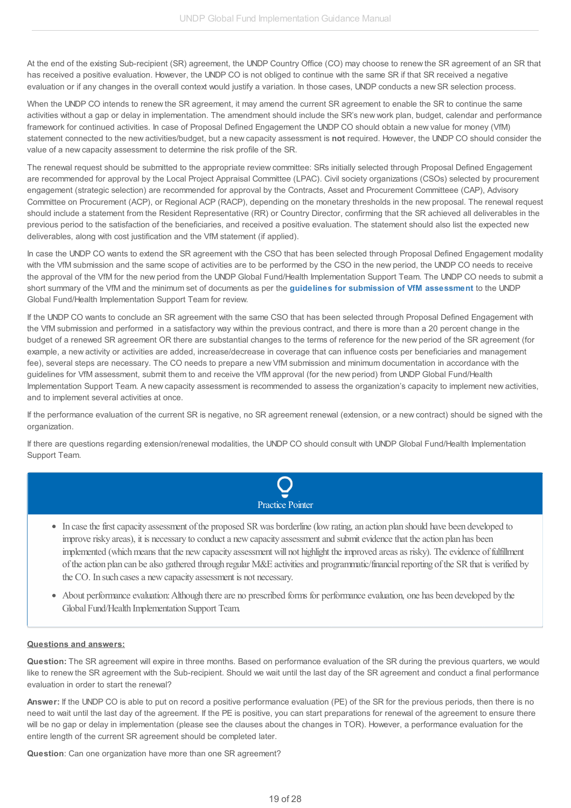At the end of the existing Sub-recipient (SR) agreement, the UNDP Country Office (CO) may choose to renew the SR agreement of an SR that has received a positive evaluation. However, the UNDP CO is not obliged to continue with the same SR if that SR received a negative evaluation or if any changes in the overall context would justify a variation. In those cases, UNDP conducts a new SR selection process.

When the UNDP CO intends to renew the SR agreement, it may amend the current SR agreement to enable the SR to continue the same activities without a gap or delay in implementation. The amendment should include the SR's new work plan, budget, calendar and performance framework for continued activities. In case of Proposal Defined Engagement the UNDP CO should obtain a new value for money (VfM) statement connected to the new activities/budget, but a new capacity assessment is **not** required. However, the UNDP CO should consider the value of a new capacity assessment to determine the risk profile of the SR.

The renewal request should be submitted to the appropriate review committee: SRs initially selected through Proposal Defined Engagement are recommended for approval by the Local Project Appraisal Committee (LPAC). Civil society organizations (CSOs) selected by procurement engagement (strategic selection) are recommended for approval by the Contracts, Asset and Procurement Committeee (CAP), Advisory Committee on Procurement (ACP), or Regional ACP (RACP), depending on the monetary thresholds in the new proposal. The renewal request should include a statement from the Resident Representative (RR) or Country Director, confirming that the SR achieved all deliverables in the previous period to the satisfaction of the beneficiaries, and received a positive evaluation. The statement should also list the expected new deliverables, along with cost justification and the VfM statement (if applied).

In case the UNDP CO wants to extend the SR agreement with the CSO that has been selected through Proposal Defined Engagement modality with the VfM submission and the same scope of activities are to be performed by the CSO in the new period, the UNDP CO needs to receive the approval of the VfM for the new period from the UNDP Global Fund/Health Implementation Support Team. The UNDP CO needs to submit a short summary of the VfM and the minimum set of documents as per the **guidelines for submission of VfM [assessment](http://api.undphealthimplementation.org/api.svc/proxy/http://api.undphealthimplementation.org/api.svc/proxy/https:/intranet.undp.org/unit/bpps/hhd/GFpartnership/UNDPasPR/Subrecipient Management/Guidelines for Submission of Value for Money Assessments to GFHIST.docx)** to the UNDP Global Fund/Health Implementation Support Team for review.

If the UNDP CO wants to conclude an SR agreement with the same CSO that has been selected through Proposal Defined Engagement with the VfM submission and performed in a satisfactory way within the previous contract, and there is more than a 20 percent change in the budget of a renewed SR agreement OR there are substantial changes to the terms of reference for the new period of the SR agreement (for example, a new activity or activities are added, increase/decrease in coverage that can influence costs per beneficiaries and management fee), several steps are necessary. The CO needs to prepare a new VfM submission and minimum documentation in accordance with the guidelines for VfM assessment, submit them to and receive the VfM approval (for the new period) from UNDP Global Fund/Health Implementation Support Team. A new capacity assessment is recommended to assess the organization's capacity to implement new activities, and to implement several activities at once.

If the performance evaluation of the current SR is negative, no SR agreement renewal (extension, or a new contract) should be signed with the organization.

If there are questions regarding extension/renewal modalities, the UNDP CO should consult with UNDP Global Fund/Health Implementation Support Team.



- In case the first capacity assessment of the proposed SR was borderline (low rating, an action plan should have been developed to improve risky areas), it is necessary to conduct a new capacity assessment and submit evidence that the action plan has been implemented (which means that the new capacity assessment will not highlight the improved areas as risky). The evidence of fulfillment of the action plan can be also gathered through regular M&E activities and programmatic/financial reporting of the SR that is verified by the CO. In such cases a new capacity assessment is not necessary.
- About performance evaluation: Although there are no prescribed forms for performance evaluation, one has been developed by the GlobalFund/Health Implementation Support Team.

### **Questions and answers:**

**Question:** The SR agreement will expire in three months. Based on performance evaluation of the SR during the previous quarters, we would like to renew the SR agreement with the Sub-recipient. Should we wait until the last day of the SR agreement and conduct a final performance evaluation in order to start the renewal?

**Answer:** If the UNDP CO is able to put on record a positive performance evaluation (PE) of the SR for the previous periods, then there is no need to wait until the last day of the agreement. If the PE is positive, you can start preparations for renewal of the agreement to ensure there will be no gap or delay in implementation (please see the clauses about the changes in TOR). However, a performance evaluation for the entire length of the current SR agreement should be completed later.

**Question**: Can one organization have more than one SR agreement?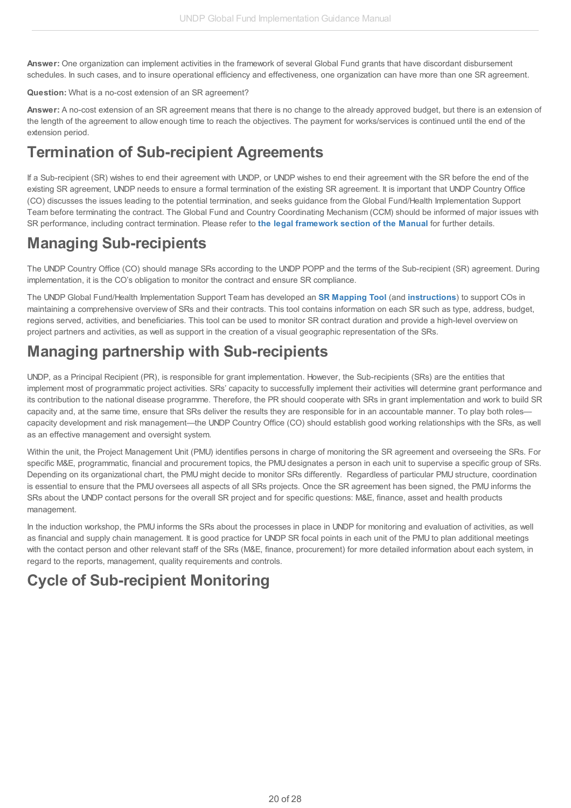**Answer:** One organization can implement activities in the framework of several Global Fund grants that have discordant disbursement schedules. In such cases, and to insure operational efficiency and effectiveness, one organization can have more than one SR agreement.

### **Question:** What is a no-cost extension of an SR agreement?

**Answer:** A no-cost extension of an SR agreement means that there is no change to the already approved budget, but there is an extension of the length of the agreement to allow enough time to reach the objectives. The payment for works/services is continued until the end of the extension period.

## <span id="page-19-0"></span>**Termination of Sub-recipient Agreements**

If a Sub-recipient (SR) wishes to end their agreement with UNDP, or UNDP wishes to end their agreement with the SR before the end of the existing SR agreement, UNDP needs to ensure a formal termination of the existing SR agreement. It is important that UNDP Country Office (CO) discusses the issues leading to the potential termination, and seeks guidance from the Global Fund/Health Implementation Support Team before terminating the contract. The Global Fund and Country Coordinating Mechanism (CCM) should be informed of major issues with SR performance, including contract termination. Please refer to **the legal [framework](http://undphealthimplementation.org/functional-areas/legal-framework/agreements-with-sub-recipients/) section of the Manual** for further details.

## <span id="page-19-1"></span>**Managing Sub-recipients**

The UNDP Country Office (CO) should manage SRs according to the UNDP POPP and the terms of the Sub-recipient (SR) agreement. During implementation, it is the CO's obligation to monitor the contract and ensure SR compliance.

The UNDP Global Fund/Health Implementation Support Team has developed an **SR [Mapping](http://api.undphealthimplementation.org/api.svc/proxy/https://intranet.undp.org/unit/bpps/hhd/GFpartnership/UNDPasPR/Subrecipient Management/SR Mapping Tool_Feb 2015.xlsm) Tool** (and **[instructions](http://api.undphealthimplementation.org/api.svc/proxy/https://intranet.undp.org/unit/bpps/hhd/GFpartnership/UNDPasPR/Subrecipient Management/SR Mapping Tool Instructions_Feb 2015.docx)**) to support COs in maintaining a comprehensive overview of SRs and their contracts. This tool contains information on each SR such as type, address, budget, regions served, activities, and beneficiaries. This tool can be used to monitor SR contract duration and provide a high-level overview on project partners and activities, as well as support in the creation of a visual geographic representation of the SRs.

# <span id="page-19-2"></span>**Managing partnership with Sub-recipients**

UNDP, as a Principal Recipient (PR), is responsible for grant implementation. However, the Sub-recipients (SRs) are the entities that implement most of programmatic project activities. SRs' capacity to successfully implement their activities will determine grant performance and its contribution to the national disease programme. Therefore, the PR should cooperate with SRs in grant implementation and work to build SR capacity and, at the same time, ensure that SRs deliver the results they are responsible for in an accountable manner. To play both roles capacity development and risk management—the UNDP Country Office (CO) should establish good working relationships with the SRs, as well as an effective management and oversight system.

Within the unit, the Project Management Unit (PMU) identifies persons in charge of monitoring the SR agreement and overseeing the SRs. For specific M&E, programmatic, financial and procurement topics, the PMU designates a person in each unit to supervise a specific group of SRs. Depending on its organizational chart, the PMU might decide to monitor SRs differently. Regardless of particular PMU structure, coordination is essential to ensure that the PMU oversees all aspects of all SRs projects. Once the SR agreement has been signed, the PMU informs the SRs about the UNDP contact persons for the overall SR project and for specific questions: M&E, finance, asset and health products management.

In the induction workshop, the PMU informs the SRs about the processes in place in UNDP for monitoring and evaluation of activities, as well as financial and supply chain management*.* It is good practice for UNDP SR focal points in each unit of the PMU to plan additional meetings with the contact person and other relevant staff of the SRs (M&E, finance, procurement) for more detailed information about each system, in regard to the reports, management, quality requirements and controls.

# <span id="page-19-3"></span>**Cycle of Sub-recipient Monitoring**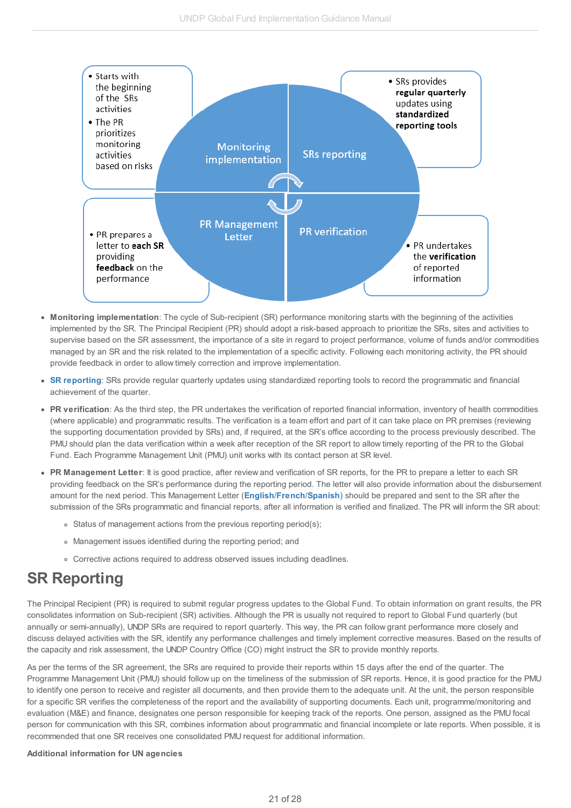

- **Monitoring implementation**: The cycle of Sub-recipient (SR) performance monitoring starts with the beginning of the activities implemented by the SR. The Principal Recipient (PR) should adopt a risk-based approach to prioritize the SRs, sites and activities to supervise based on the SR assessment, the importance of a site in regard to project performance, volume of funds and/or commodities managed by an SR and the risk related to the implementation of a specific activity. Following each monitoring activity, the PR should provide feedback in order to allow timely correction and improve implementation.
- **SR [reporting](http://undphealthimplementation.org/functional-areas/sub-recipient-management/managing-sub-recipients/sr-reporting/)**: SRs provide regular quarterly updates using standardized reporting tools to record the programmatic and financial achievement of the quarter.
- **PR verification**: As the third step, the PR undertakes the verification of reported financial information, inventory of health commodities (where applicable) and programmatic results. The verification is a team effort and part of it can take place on PR premises (reviewing the supporting documentation provided by SRs) and, if required, at the SR's office according to the process previously described. The PMU should plan the data verification within a week after reception of the SR report to allow timely reporting of the PR to the Global Fund. Each Programme Management Unit (PMU) unit works with its contact person at SR level.
- **PR Management Letter**: It is good practice, after review and verification of SR reports, for the PR to prepare a letter to each SR providing feedback on the SR's performance during the reporting period. The letter will also provide information about the disbursement amount for the next period. This Management Letter (**[English](http://api.undphealthimplementation.org/api.svc/proxy/https://intranet.undp.org/unit/bpps/hhd/GFpartnership/UNDPasPR/Subrecipient Management/Template for Management Letter to SRs (English).docx?Web=1)**/**[French](http://api.undphealthimplementation.org/api.svc/proxy/https://intranet.undp.org/unit/bpps/hhd/GFpartnership/UNDPasPR/Subrecipient Management/Template for Management Letter to SRs (French).docx?Web=1)**/**[Spanish](http://api.undphealthimplementation.org/api.svc/proxy/https://intranet.undp.org/unit/bpps/hhd/GFpartnership/UNDPasPR/Subrecipient Management/Template for Management Letter to SRs (Spanish).docx?Web=1)**) should be prepared and sent to the SR after the submission of the SRs programmatic and financial reports, after all information is verified and finalized. The PR will inform the SR about:
	- Status of management actions from the previous reporting period(s);
	- Management issues identified during the reporting period; and
	- Corrective actions required to address observed issues including deadlines.

# <span id="page-20-0"></span>**SR Reporting**

The Principal Recipient (PR) is required to submit regular progress updates to the Global Fund. To obtain information on grant results, the PR consolidates information on Sub-recipient (SR) activities. Although the PR is usually not required to report to Global Fund quarterly (but annually or semi-annually), UNDP SRs are required to report quarterly. This way, the PR can follow grant performance more closely and discuss delayed activities with the SR, identify any performance challenges and timely implement corrective measures. Based on the results of the capacity and risk assessment, the UNDP Country Office (CO) might instruct the SR to provide monthly reports.

As per the terms of the SR agreement, the SRs are required to provide their reports within 15 days after the end of the quarter. The Programme Management Unit (PMU) should follow up on the timeliness of the submission of SR reports. Hence, it is good practice for the PMU to identify one person to receive and register all documents, and then provide them to the adequate unit. At the unit, the person responsible for a specific SR verifies the completeness of the report and the availability of supporting documents. Each unit, programme/monitoring and evaluation (M&E) and finance, designates one person responsible for keeping track of the reports. One person, assigned as the PMU focal person for communication with this SR, combines information about programmatic and financial incomplete or late reports. When possible, it is recommended that one SR receives one consolidated PMU request for additional information.

#### **Additional information for UN agencies**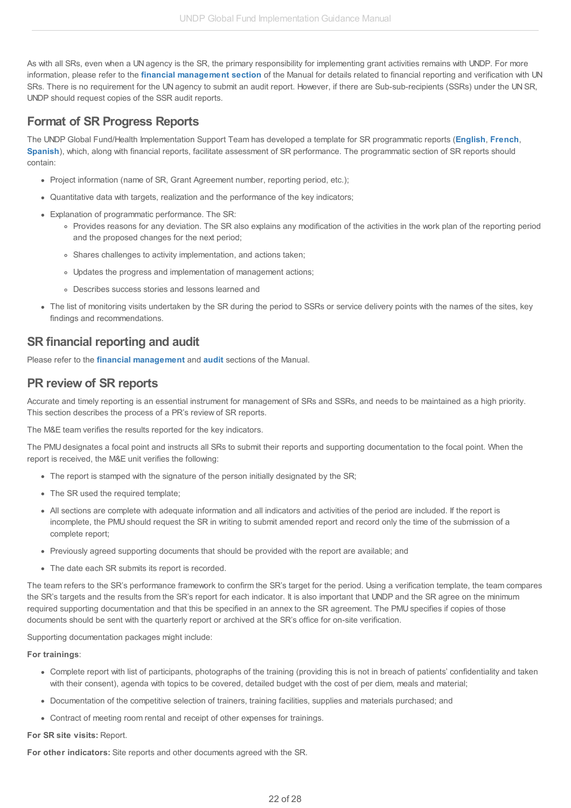As with all SRs, even when a UN agency is the SR, the primary responsibility for implementing grant activities remains with UNDP. For more information, please refer to the **financial [management](http://undphealthimplementation.org/functional-areas/financial-management/sub-recipient-management/hact/) section** of the Manual for details related to financial reporting and verification with UN SRs. There is no requirement for the UN agency to submit an audit report. However, if there are Sub-sub-recipients (SSRs) under the UN SR, UNDP should request copies of the SSR audit reports.

### <span id="page-21-0"></span>**Format of SR Progress Reports**

The UNDP Global Fund/Health Implementation Support Team has developed a template for SR programmatic reports (**[English](http://api.undphealthimplementation.org/api.svc/proxy/https://intranet.undp.org/unit/bpps/hhd/GFpartnership/UNDPasPR/Subrecipient Management/SR Programmatic Report Template (English).docx)**, **[French](http://api.undphealthimplementation.org/api.svc/proxy/https://intranet.undp.org/unit/bpps/hhd/GFpartnership/UNDPasPR/Subrecipient Management/SR Programmatic Report Template (French).docx)**, **[Spanish](http://api.undphealthimplementation.org/api.svc/proxy/https://intranet.undp.org/unit/bpps/hhd/GFpartnership/UNDPasPR/Subrecipient Management/SR Programmatic Report Template (Spanish).docx)**), which, along with financial reports, facilitate assessment of SR performance. The programmatic section of SR reports should contain:

- Project information (name of SR, Grant Agreement number, reporting period, etc.);
- Quantitative data with targets, realization and the performance of the key indicators;
- Explanation of programmatic performance. The SR:
	- Provides reasons for any deviation. The SR also explains any modification of the activities in the work plan of the reporting period and the proposed changes for the next period;
	- Shares challenges to activity implementation, and actions taken;
	- Updates the progress and implementation of management actions;
	- Describes success stories and lessons learned and
- The list of monitoring visits undertaken by the SR during the period to SSRs or service delivery points with the names of the sites, key findings and recommendations.

### <span id="page-21-1"></span>**SR financial reporting and audit**

Please refer to the **financial [management](http://undphealthimplementation.org/functional-areas/financial-management/sub-recipient-management/detailed-steps-in-verification-and-monitoring-of-sr-financial-reports-and-records/)** and **[audit](http://undphealthimplementation.org/functional-areas/audit-and-investigations/sub-recipient-audit/sub-recipient-audit-approach/)** sections of the Manual.

### <span id="page-21-2"></span>**PR review of SR reports**

Accurate and timely reporting is an essential instrument for management of SRs and SSRs, and needs to be maintained as a high priority. This section describes the process of a PR's review of SR reports.

The M&E team verifies the results reported for the key indicators.

The PMU designates a focal point and instructs all SRs to submit their reports and supporting documentation to the focal point. When the report is received, the M&E unit verifies the following:

- The report is stamped with the signature of the person initially designated by the SR;
- The SR used the required template;
- All sections are complete with adequate information and all indicators and activities of the period are included. If the report is incomplete, the PMU should request the SR in writing to submit amended report and record only the time of the submission of a complete report;
- Previously agreed supporting documents that should be provided with the report are available; and
- The date each SR submits its report is recorded.

The team refers to the SR's performance framework to confirm the SR's target for the period. Using a verification template, the team compares the SR's targets and the results from the SR's report for each indicator. It is also important that UNDP and the SR agree on the minimum required supporting documentation and that this be specified in an annex to the SR agreement. The PMU specifies if copies of those documents should be sent with the quarterly report or archived at the SR's office for on-site verification.

Supporting documentation packages might include:

#### **For trainings**:

- Complete report with list of participants, photographs of the training (providing this is not in breach of patients' confidentiality and taken with their consent), agenda with topics to be covered, detailed budget with the cost of per diem, meals and material;
- Documentation of the competitive selection of trainers, training facilities, supplies and materials purchased; and
- Contract of meeting room rental and receipt of other expenses for trainings.

### **For SR site visits:** Report.

**For other indicators:** Site reports and other documents agreed with the SR.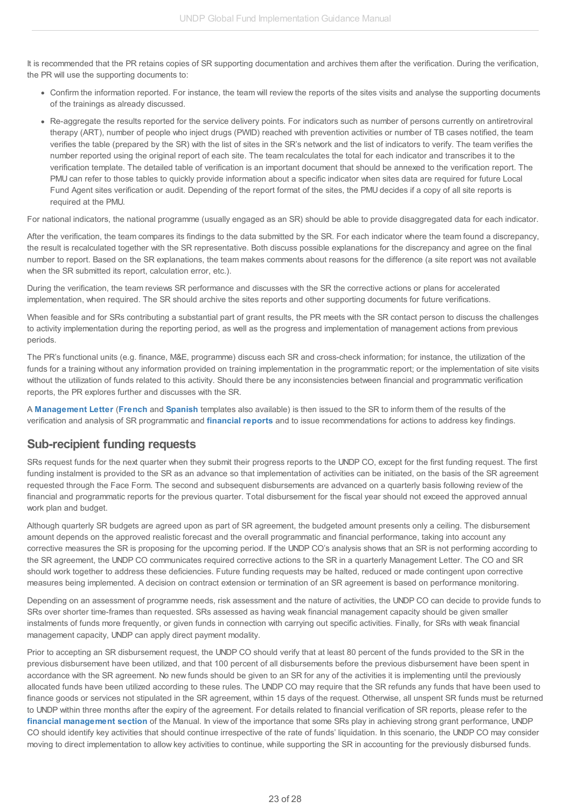It is recommended that the PR retains copies of SR supporting documentation and archives them after the verification. During the verification, the PR will use the supporting documents to:

- Confirm the information reported. For instance, the team will review the reports of the sites visits and analyse the supporting documents of the trainings as already discussed.
- Re-aggregate the results reported for the service delivery points. For indicators such as number of persons currently on antiretroviral therapy (ART), number of people who inject drugs (PWID) reached with prevention activities or number of TB cases notified, the team verifies the table (prepared by the SR) with the list of sites in the SR's network and the list of indicators to verify. The team verifies the number reported using the original report of each site. The team recalculates the total for each indicator and transcribes it to the verification template. The detailed table of verification is an important document that should be annexed to the verification report. The PMU can refer to those tables to quickly provide information about a specific indicator when sites data are required for future Local Fund Agent sites verification or audit. Depending of the report format of the sites, the PMU decides if a copy of all site reports is required at the PMU.

For national indicators, the national programme (usually engaged as an SR) should be able to provide disaggregated data for each indicator.

After the verification, the team compares its findings to the data submitted by the SR. For each indicator where the team found a discrepancy, the result is recalculated together with the SR representative. Both discuss possible explanations for the discrepancy and agree on the final number to report. Based on the SR explanations, the team makes comments about reasons for the difference (a site report was not available when the SR submitted its report, calculation error, etc.).

During the verification, the team reviews SR performance and discusses with the SR the corrective actions or plans for accelerated implementation, when required. The SR should archive the sites reports and other supporting documents for future verifications.

When feasible and for SRs contributing a substantial part of grant results, the PR meets with the SR contact person to discuss the challenges to activity implementation during the reporting period, as well as the progress and implementation of management actions from previous periods.

The PR's functional units (e.g. finance, M&E, programme) discuss each SR and cross-check information; for instance, the utilization of the funds for a training without any information provided on training implementation in the programmatic report; or the implementation of site visits without the utilization of funds related to this activity. Should there be any inconsistencies between financial and programmatic verification reports, the PR explores further and discusses with the SR.

A **[Management](http://api.undphealthimplementation.org/api.svc/proxy/https://intranet.undp.org/unit/bpps/hhd/GFpartnership/UNDPasPR/Subrecipient Management/Template for Management Letter to SRs (English).docx?Web=1) Letter** (**[French](http://api.undphealthimplementation.org/api.svc/proxy/https://intranet.undp.org/unit/bpps/hhd/GFpartnership/UNDPasPR/Subrecipient Management/Template for Management Letter to SRs (French).docx?Web=1)** and **[Spanish](http://api.undphealthimplementation.org/api.svc/proxy/https://intranet.undp.org/unit/bpps/hhd/GFpartnership/UNDPasPR/Subrecipient Management/Template for Management Letter to SRs (Spanish).docx?Web=1)** templates also available) is then issued to the SR to inform them of the results of the verification and analysis of SR programmatic and **[financial](http://undphealthimplementation.org/functional-areas/financial-management/sub-recipient-management/detailed-steps-in-verification-and-monitoring-of-sr-financial-reports-and-records/) reports** and to issue recommendations for actions to address key findings.

### <span id="page-22-0"></span>**Sub-recipient funding requests**

SRs request funds for the next quarter when they submit their progress reports to the UNDP CO, except for the first funding request. The first funding instalment is provided to the SR as an advance so that implementation of activities can be initiated, on the basis of the SR agreement requested through the Face Form. The second and subsequent disbursements are advanced on a quarterly basis following review of the financial and programmatic reports for the previous quarter. Total disbursement for the fiscal year should not exceed the approved annual work plan and budget.

Although quarterly SR budgets are agreed upon as part of SR agreement, the budgeted amount presents only a ceiling. The disbursement amount depends on the approved realistic forecast and the overall programmatic and financial performance, taking into account any corrective measures the SR is proposing for the upcoming period. If the UNDP CO's analysis shows that an SR is not performing according to the SR agreement, the UNDP CO communicates required corrective actions to the SR in a quarterly Management Letter. The CO and SR should work together to address these deficiencies. Future funding requests may be halted, reduced or made contingent upon corrective measures being implemented. A decision on contract extension or termination of an SR agreement is based on performance monitoring.

Depending on an assessment of programme needs, risk assessment and the nature of activities, the UNDP CO can decide to provide funds to SRs over shorter time-frames than requested. SRs assessed as having weak financial management capacity should be given smaller instalments of funds more frequently, or given funds in connection with carrying out specific activities. Finally, for SRs with weak financial management capacity, UNDP can apply direct payment modality.

Prior to accepting an SR disbursement request, the UNDP CO should verify that at least 80 percent of the funds provided to the SR in the previous disbursement have been utilized, and that 100 percent of all disbursements before the previous disbursement have been spent in accordance with the SR agreement. No new funds should be given to an SR for any of the activities it is implementing until the previously allocated funds have been utilized according to these rules. The UNDP CO may require that the SR refunds any funds that have been used to finance goods or services not stipulated in the SR agreement, within 15 days of the request. Otherwise, all unspent SR funds must be returned to UNDP within three months after the expiry of the agreement. For details related to financial verification of SR reports, please refer to the **financial [management](http://undphealthimplementation.org/functional-areas/financial-management/sub-recipient-management/detailed-steps-in-verification-and-monitoring-of-sr-financial-reports-and-records/) section** of the Manual. In view of the importance that some SRs play in achieving strong grant performance, UNDP CO should identify key activities that should continue irrespective of the rate of funds' liquidation. In this scenario, the UNDP CO may consider moving to direct implementation to allow key activities to continue, while supporting the SR in accounting for the previously disbursed funds.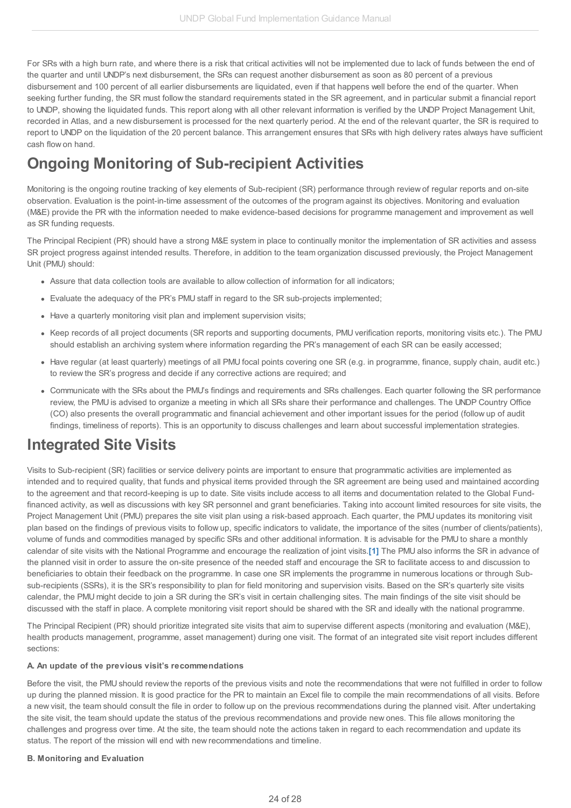For SRs with a high burn rate, and where there is a risk that critical activities will not be implemented due to lack of funds between the end of the quarter and until UNDP's next disbursement, the SRs can request another disbursement as soon as 80 percent of a previous disbursement and 100 percent of all earlier disbursements are liquidated, even if that happens well before the end of the quarter. When seeking further funding, the SR must follow the standard requirements stated in the SR agreement, and in particular submit a financial report to UNDP, showing the liquidated funds. This report along with all other relevant information is verified by the UNDP Project Management Unit, recorded in Atlas, and a new disbursement is processed for the next quarterly period. At the end of the relevant quarter, the SR is required to report to UNDP on the liquidation of the 20 percent balance. This arrangement ensures that SRs with high delivery rates always have sufficient cash flow on hand.

# <span id="page-23-0"></span>**Ongoing Monitoring of Sub-recipient Activities**

Monitoring is the ongoing routine tracking of key elements of Sub-recipient (SR) performance through review of regular reports and on-site observation. Evaluation is the point-in-time assessment of the outcomes of the program against its objectives. Monitoring and evaluation (M&E) provide the PR with the information needed to make evidence-based decisions for programme management and improvement as well as SR funding requests.

The Principal Recipient (PR) should have a strong M&E system in place to continually monitor the implementation of SR activities and assess SR project progress against intended results. Therefore, in addition to the team organization discussed previously, the Project Management Unit (PMU) should:

- Assure that data collection tools are available to allow collection of information for all indicators;
- Evaluate the adequacy of the PR's PMU staff in regard to the SR sub-projects implemented;
- Have a quarterly monitoring visit plan and implement supervision visits;
- Keep records of all project documents (SR reports and supporting documents, PMU verification reports, monitoring visits etc.). The PMU should establish an archiving system where information regarding the PR's management of each SR can be easily accessed;
- Have regular (at least quarterly) meetings of all PMU focal points covering one SR (e.g. in programme, finance, supply chain, audit etc.) to review the SR's progress and decide if any corrective actions are required; and
- Communicate with the SRs about the PMU's findings and requirements and SRs challenges. Each quarter following the SR performance review, the PMU is advised to organize a meeting in which all SRs share their performance and challenges. The UNDP Country Office (CO) also presents the overall programmatic and financial achievement and other important issues for the period (follow up of audit findings, timeliness of reports). This is an opportunity to discuss challenges and learn about successful implementation strategies.

## <span id="page-23-1"></span>**Integrated Site Visits**

Visits to Sub-recipient (SR) facilities or service delivery points are important to ensure that programmatic activities are implemented as intended and to required quality, that funds and physical items provided through the SR agreement are being used and maintained according to the agreement and that record-keeping is up to date. Site visits include access to all items and documentation related to the Global Fundfinanced activity, as well as discussions with key SR personnel and grant beneficiaries. Taking into account limited resources for site visits, the Project Management Unit (PMU) prepares the site visit plan using a risk-based approach. Each quarter, the PMU updates its monitoring visit plan based on the findings of previous visits to follow up, specific indicators to validate, the importance of the sites (number of clients/patients), volume of funds and commodities managed by specific SRs and other additional information. It is advisable for the PMU to share a monthly calendar of site visits with the National Programme and encourage the realization of joint visits.**[\[1\]](#page-3-2)** The PMU also informs the SR in advance of the planned visit in order to assure the on-site presence of the needed staff and encourage the SR to facilitate access to and discussion to beneficiaries to obtain their feedback on the programme. In case one SR implements the programme in numerous locations or through Subsub-recipients (SSRs), it is the SR's responsibility to plan for field monitoring and supervision visits. Based on the SR's quarterly site visits calendar, the PMU might decide to join a SR during the SR's visit in certain challenging sites. The main findings of the site visit should be discussed with the staff in place. A complete monitoring visit report should be shared with the SR and ideally with the national programme.

The Principal Recipient (PR) should prioritize integrated site visits that aim to supervise different aspects (monitoring and evaluation (M&E), health products management, programme, asset management) during one visit. The format of an integrated site visit report includes different sections:

#### **A. An update of the previous visit's recommendations**

Before the visit, the PMU should review the reports of the previous visits and note the recommendations that were not fulfilled in order to follow up during the planned mission. It is good practice for the PR to maintain an Excel file to compile the main recommendations of all visits. Before a new visit, the team should consult the file in order to follow up on the previous recommendations during the planned visit. After undertaking the site visit, the team should update the status of the previous recommendations and provide new ones. This file allows monitoring the challenges and progress over time. At the site, the team should note the actions taken in regard to each recommendation and update its status. The report of the mission will end with new recommendations and timeline.

#### **B. Monitoring and Evaluation**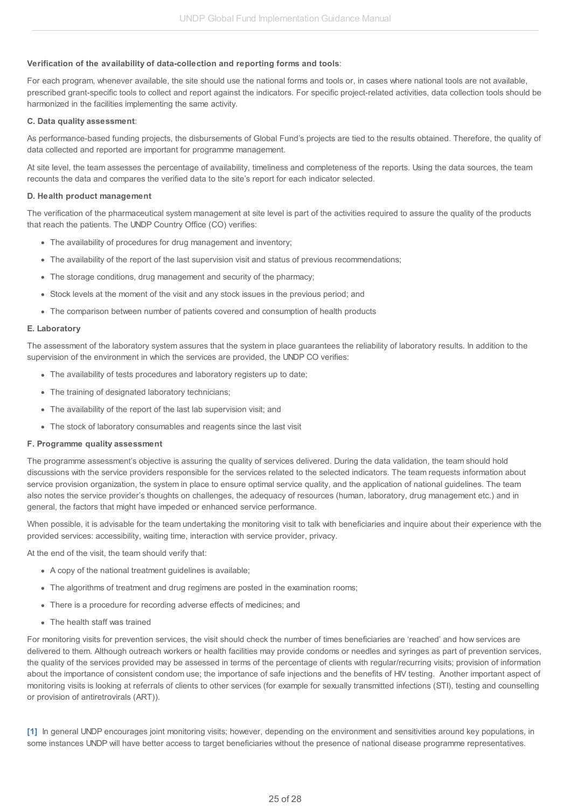### **Verification of the availability of data-collection and reporting forms and tools**:

For each program, whenever available, the site should use the national forms and tools or, in cases where national tools are not available, prescribed grant-specific tools to collect and report against the indicators. For specific project-related activities, data collection tools should be harmonized in the facilities implementing the same activity.

#### **C. Data quality assessment**:

As performance-based funding projects, the disbursements of Global Fund's projects are tied to the results obtained. Therefore, the quality of data collected and reported are important for programme management.

At site level, the team assesses the percentage of availability, timeliness and completeness of the reports. Using the data sources, the team recounts the data and compares the verified data to the site's report for each indicator selected.

#### **D. Health product management**

The verification of the pharmaceutical system management at site level is part of the activities required to assure the quality of the products that reach the patients. The UNDP Country Office (CO) verifies:

- The availability of procedures for drug management and inventory;
- The availability of the report of the last supervision visit and status of previous recommendations;
- The storage conditions, drug management and security of the pharmacy;
- Stock levels at the moment of the visit and any stock issues in the previous period; and
- The comparison between number of patients covered and consumption of health products

#### **E. Laboratory**

The assessment of the laboratory system assures that the system in place guarantees the reliability of laboratory results. In addition to the supervision of the environment in which the services are provided, the UNDP CO verifies:

- The availability of tests procedures and laboratory registers up to date;
- The training of designated laboratory technicians;
- The availability of the report of the last lab supervision visit; and
- The stock of laboratory consumables and reagents since the last visit

#### **F. Programme quality assessment**

The programme assessment's objective is assuring the quality of services delivered. During the data validation, the team should hold discussions with the service providers responsible for the services related to the selected indicators. The team requests information about service provision organization, the system in place to ensure optimal service quality, and the application of national guidelines. The team also notes the service provider's thoughts on challenges, the adequacy of resources (human, laboratory, drug management etc.) and in general, the factors that might have impeded or enhanced service performance.

When possible, it is advisable for the team undertaking the monitoring visit to talk with beneficiaries and inquire about their experience with the provided services: accessibility, waiting time, interaction with service provider, privacy.

At the end of the visit, the team should verify that:

- A copy of the national treatment guidelines is available;
- The algorithms of treatment and drug regimens are posted in the examination rooms;
- There is a procedure for recording adverse effects of medicines; and
- The health staff was trained

For monitoring visits for prevention services, the visit should check the number of times beneficiaries are 'reached' and how services are delivered to them. Although outreach workers or health facilities may provide condoms or needles and syringes as part of prevention services, the quality of the services provided may be assessed in terms of the percentage of clients with regular/recurring visits; provision of information about the importance of consistent condom use; the importance of safe injections and the benefits of HIV testing. Another important aspect of monitoring visits is looking at referrals of clients to other services (for example for sexually transmitted infections (STI), testing and counselling or provision of antiretrovirals (ART)).

**[\[1\]](#page-2-7)** In general UNDP encourages joint monitoring visits; however, depending on the environment and sensitivities around key populations, in some instances UNDP will have better access to target beneficiaries without the presence of national disease programme representatives.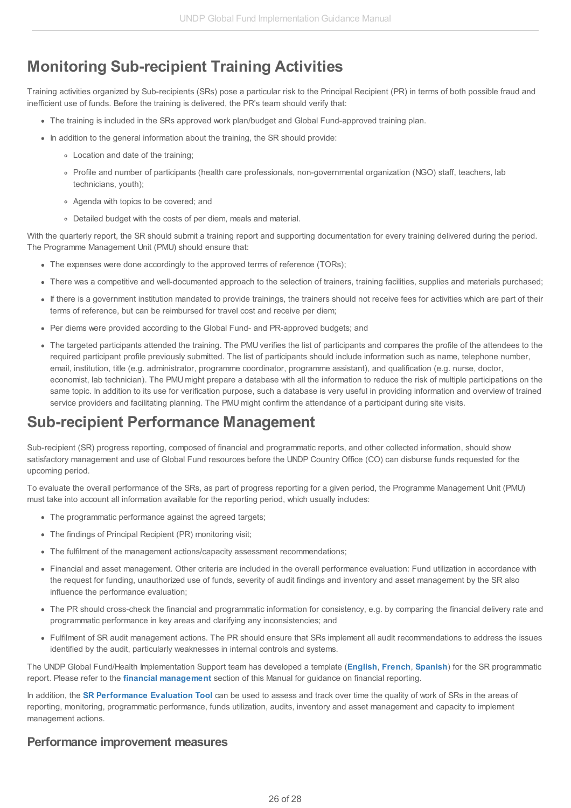# <span id="page-25-0"></span>**Monitoring Sub-recipient Training Activities**

Training activities organized by Sub-recipients (SRs) pose a particular risk to the Principal Recipient (PR) in terms of both possible fraud and inefficient use of funds. Before the training is delivered, the PR's team should verify that:

- The training is included in the SRs approved work plan/budget and Global Fund-approved training plan.
- In addition to the general information about the training, the SR should provide:
	- Location and date of the training;
	- Profile and number of participants (health care professionals, non-governmental organization (NGO) staff, teachers, lab technicians, youth);
	- Agenda with topics to be covered; and
	- Detailed budget with the costs of per diem, meals and material.

With the quarterly report, the SR should submit a training report and supporting documentation for every training delivered during the period. The Programme Management Unit (PMU) should ensure that:

- The expenses were done accordingly to the approved terms of reference (TORs);
- There was a competitive and well-documented approach to the selection of trainers, training facilities, supplies and materials purchased;
- If there is a government institution mandated to provide trainings, the trainers should not receive fees for activities which are part of their terms of reference, but can be reimbursed for travel cost and receive per diem;
- Per diems were provided according to the Global Fund- and PR-approved budgets; and
- The targeted participants attended the training. The PMU verifies the list of participants and compares the profile of the attendees to the required participant profile previously submitted. The list of participants should include information such as name, telephone number, email, institution, title (e.g. administrator, programme coordinator, programme assistant), and qualification (e.g. nurse, doctor, economist, lab technician). The PMU might prepare a database with all the information to reduce the risk of multiple participations on the same topic. In addition to its use for verification purpose, such a database is very useful in providing information and overview of trained service providers and facilitating planning. The PMU might confirm the attendance of a participant during site visits.

## <span id="page-25-1"></span>**Sub-recipient Performance Management**

Sub-recipient (SR) progress reporting, composed of financial and programmatic reports, and other collected information, should show satisfactory management and use of Global Fund resources before the UNDP Country Office (CO) can disburse funds requested for the upcoming period.

To evaluate the overall performance of the SRs, as part of progress reporting for a given period, the Programme Management Unit (PMU) must take into account all information available for the reporting period, which usually includes:

- The programmatic performance against the agreed targets;
- The findings of Principal Recipient (PR) monitoring visit;
- The fulfilment of the management actions/capacity assessment recommendations;
- Financial and asset management. Other criteria are included in the overall performance evaluation: Fund utilization in accordance with the request for funding, unauthorized use of funds, severity of audit findings and inventory and asset management by the SR also influence the performance evaluation;
- The PR should cross-check the financial and programmatic information for consistency, e.g. by comparing the financial delivery rate and programmatic performance in key areas and clarifying any inconsistencies; and
- Fulfilment of SR audit management actions. The PR should ensure that SRs implement all audit recommendations to address the issues identified by the audit, particularly weaknesses in internal controls and systems.

The UNDP Global Fund/Health Implementation Support team has developed a template (**[English](http://api.undphealthimplementation.org/api.svc/proxy/https://intranet.undp.org/unit/bpps/hhd/GFpartnership/UNDPasPR/Subrecipient Management/SR Programmatic Report Template (English).docx)**, **[French](http://api.undphealthimplementation.org/api.svc/proxy/https://intranet.undp.org/unit/bpps/hhd/GFpartnership/UNDPasPR/Subrecipient Management/SR Programmatic Report Template (French).docx)**, **[Spanish](http://api.undphealthimplementation.org/api.svc/proxy/https://intranet.undp.org/unit/bpps/hhd/GFpartnership/UNDPasPR/Subrecipient Management/SR Programmatic Report Template (Spanish).docx)**) for the SR programmatic report. Please refer to the **financial [management](http://undphealthimplementation.org/functional-areas/financial-management/sub-recipient-management/detailed-steps-in-verification-and-monitoring-of-sr-financial-reports-and-records/)** section of this Manual for guidance on financial reporting.

In addition, the **SR [Performance](http://api.undphealthimplementation.org/api.svc/proxy/https://intranet.undp.org/unit/bpps/hhd/GFpartnership/UNDPasPR/Subrecipient Management/SR Performance Evaluation Tool_Feb 2015.xlsx) Evaluation Tool** can be used to assess and track over time the quality of work of SRs in the areas of reporting, monitoring, programmatic performance, funds utilization, audits, inventory and asset management and capacity to implement management actions.

### <span id="page-25-2"></span>**Performance improvement measures**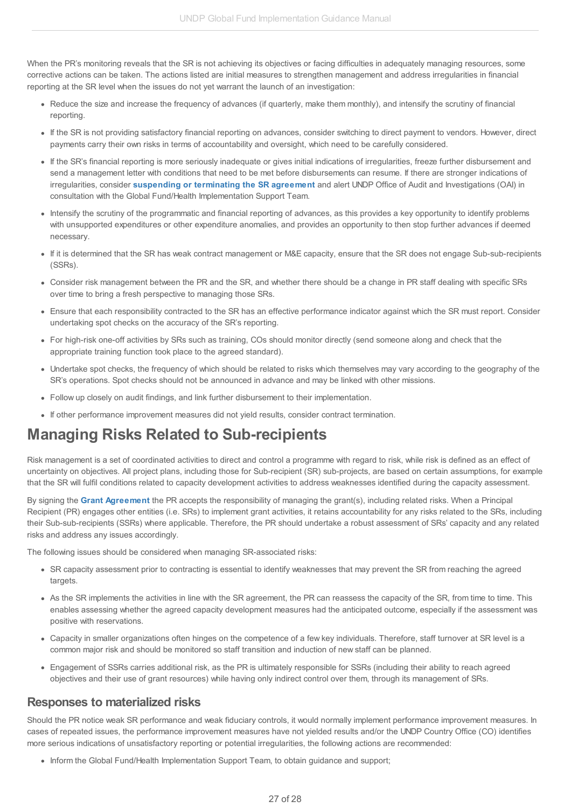When the PR's monitoring reveals that the SR is not achieving its objectives or facing difficulties in adequately managing resources, some corrective actions can be taken. The actions listed are initial measures to strengthen management and address irregularities in financial reporting at the SR level when the issues do not yet warrant the launch of an investigation:

- Reduce the size and increase the frequency of advances (if quarterly, make them monthly), and intensify the scrutiny of financial reporting.
- If the SR is not providing satisfactory financial reporting on advances, consider switching to direct payment to vendors. However, direct payments carry their own risks in terms of accountability and oversight, which need to be carefully considered.
- If the SR's financial reporting is more seriously inadequate or gives initial indications of irregularities, freeze further disbursement and send a management letter with conditions that need to be met before disbursements can resume. If there are stronger indications of irregularities, consider **[suspending](http://undphealthimplementation.org/functional-areas/legal-framework/agreements-with-sub-recipients/) or terminating the SR agreement** and alert UNDP Office of Audit and Investigations (OAI) in consultation with the Global Fund/Health Implementation Support Team.
- Intensify the scrutiny of the programmatic and financial reporting of advances, as this provides a key opportunity to identify problems with unsupported expenditures or other expenditure anomalies, and provides an opportunity to then stop further advances if deemed necessary.
- If it is determined that the SR has weak contract management or M&E capacity, ensure that the SR does not engage Sub-sub-recipients (SSRs).
- Consider risk management between the PR and the SR, and whether there should be a change in PR staff dealing with specific SRs over time to bring a fresh perspective to managing those SRs.
- Ensure that each responsibility contracted to the SR has an effective performance indicator against which the SR must report. Consider undertaking spot checks on the accuracy of the SR's reporting.
- For high-risk one-off activities by SRs such as training, COs should monitor directly (send someone along and check that the appropriate training function took place to the agreed standard).
- Undertake spot checks, the frequency of which should be related to risks which themselves may vary according to the geography of the SR's operations. Spot checks should not be announced in advance and may be linked with other missions.
- Follow up closely on audit findings, and link further disbursement to their implementation.
- If other performance improvement measures did not yield results, consider contract termination.

## <span id="page-26-0"></span>**Managing Risks Related to Sub-recipients**

Risk management is a set of coordinated activities to direct and control a programme with regard to risk, while risk is defined as an effect of uncertainty on objectives. All project plans, including those for Sub-recipient (SR) sub-projects, are based on certain assumptions, for example that the SR will fulfil conditions related to capacity development activities to address weaknesses identified during the capacity assessment.

By signing the **Grant [Agreement](http://undphealthimplementation.org/functional-areas/legal-framework/the-grant-agreement/)** the PR accepts the responsibility of managing the grant(s), including related risks. When a Principal Recipient (PR) engages other entities (i.e. SRs) to implement grant activities, it retains accountability for any risks related to the SRs, including their Sub-sub-recipients (SSRs) where applicable. Therefore, the PR should undertake a robust assessment of SRs' capacity and any related risks and address any issues accordingly.

The following issues should be considered when managing SR-associated risks:

- SR capacity assessment prior to contracting is essential to identify weaknesses that may prevent the SR from reaching the agreed targets.
- As the SR implements the activities in line with the SR agreement, the PR can reassess the capacity of the SR, from time to time. This enables assessing whether the agreed capacity development measures had the anticipated outcome, especially if the assessment was positive with reservations.
- Capacity in smaller organizations often hinges on the competence of a few key individuals. Therefore, staff turnover at SR level is a common major risk and should be monitored so staff transition and induction of new staff can be planned.
- Engagement of SSRs carries additional risk, as the PR is ultimately responsible for SSRs (including their ability to reach agreed objectives and their use of grant resources) while having only indirect control over them, through its management of SRs.

### <span id="page-26-1"></span>**Responses to materialized risks**

Should the PR notice weak SR performance and weak fiduciary controls, it would normally implement performance improvement measures. In cases of repeated issues, the performance improvement measures have not yielded results and/or the UNDP Country Office (CO) identifies more serious indications of unsatisfactory reporting or potential irregularities, the following actions are recommended:

• Inform the Global Fund/Health Implementation Support Team, to obtain guidance and support;